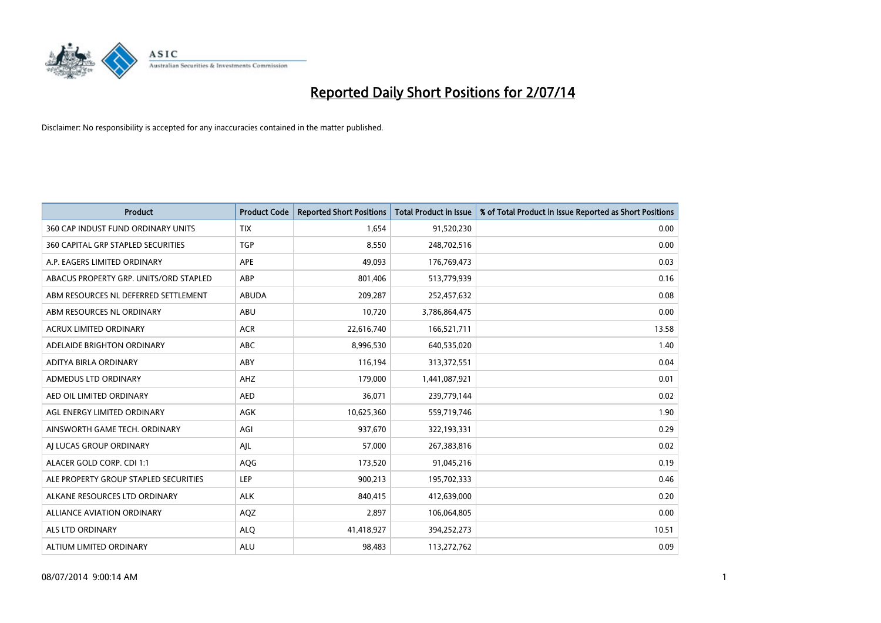

| <b>Product</b>                         | <b>Product Code</b> | <b>Reported Short Positions</b> | <b>Total Product in Issue</b> | % of Total Product in Issue Reported as Short Positions |
|----------------------------------------|---------------------|---------------------------------|-------------------------------|---------------------------------------------------------|
| 360 CAP INDUST FUND ORDINARY UNITS     | <b>TIX</b>          | 1,654                           | 91,520,230                    | 0.00                                                    |
| 360 CAPITAL GRP STAPLED SECURITIES     | <b>TGP</b>          | 8,550                           | 248,702,516                   | 0.00                                                    |
| A.P. EAGERS LIMITED ORDINARY           | APE                 | 49,093                          | 176,769,473                   | 0.03                                                    |
| ABACUS PROPERTY GRP. UNITS/ORD STAPLED | ABP                 | 801,406                         | 513,779,939                   | 0.16                                                    |
| ABM RESOURCES NL DEFERRED SETTLEMENT   | <b>ABUDA</b>        | 209,287                         | 252,457,632                   | 0.08                                                    |
| ABM RESOURCES NL ORDINARY              | ABU                 | 10,720                          | 3,786,864,475                 | 0.00                                                    |
| <b>ACRUX LIMITED ORDINARY</b>          | <b>ACR</b>          | 22,616,740                      | 166,521,711                   | 13.58                                                   |
| ADELAIDE BRIGHTON ORDINARY             | <b>ABC</b>          | 8,996,530                       | 640,535,020                   | 1.40                                                    |
| ADITYA BIRLA ORDINARY                  | ABY                 | 116,194                         | 313,372,551                   | 0.04                                                    |
| ADMEDUS LTD ORDINARY                   | AHZ                 | 179,000                         | 1,441,087,921                 | 0.01                                                    |
| AED OIL LIMITED ORDINARY               | <b>AED</b>          | 36,071                          | 239,779,144                   | 0.02                                                    |
| AGL ENERGY LIMITED ORDINARY            | AGK                 | 10,625,360                      | 559,719,746                   | 1.90                                                    |
| AINSWORTH GAME TECH. ORDINARY          | AGI                 | 937,670                         | 322,193,331                   | 0.29                                                    |
| AI LUCAS GROUP ORDINARY                | AJL                 | 57,000                          | 267,383,816                   | 0.02                                                    |
| ALACER GOLD CORP. CDI 1:1              | AQG                 | 173,520                         | 91,045,216                    | 0.19                                                    |
| ALE PROPERTY GROUP STAPLED SECURITIES  | LEP                 | 900,213                         | 195,702,333                   | 0.46                                                    |
| ALKANE RESOURCES LTD ORDINARY          | <b>ALK</b>          | 840,415                         | 412,639,000                   | 0.20                                                    |
| <b>ALLIANCE AVIATION ORDINARY</b>      | AQZ                 | 2,897                           | 106,064,805                   | 0.00                                                    |
| ALS LTD ORDINARY                       | <b>ALO</b>          | 41,418,927                      | 394,252,273                   | 10.51                                                   |
| ALTIUM LIMITED ORDINARY                | <b>ALU</b>          | 98,483                          | 113,272,762                   | 0.09                                                    |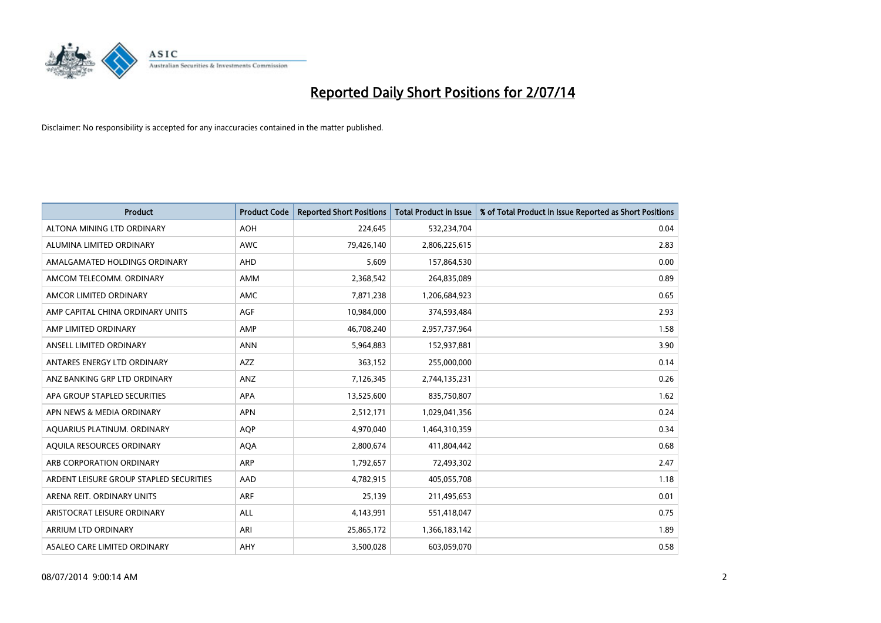

| <b>Product</b>                          | <b>Product Code</b> | <b>Reported Short Positions</b> | <b>Total Product in Issue</b> | % of Total Product in Issue Reported as Short Positions |
|-----------------------------------------|---------------------|---------------------------------|-------------------------------|---------------------------------------------------------|
| ALTONA MINING LTD ORDINARY              | <b>AOH</b>          | 224,645                         | 532,234,704                   | 0.04                                                    |
| ALUMINA LIMITED ORDINARY                | AWC                 | 79,426,140                      | 2,806,225,615                 | 2.83                                                    |
| AMALGAMATED HOLDINGS ORDINARY           | AHD                 | 5,609                           | 157,864,530                   | 0.00                                                    |
| AMCOM TELECOMM. ORDINARY                | AMM                 | 2,368,542                       | 264,835,089                   | 0.89                                                    |
| AMCOR LIMITED ORDINARY                  | AMC                 | 7,871,238                       | 1,206,684,923                 | 0.65                                                    |
| AMP CAPITAL CHINA ORDINARY UNITS        | <b>AGF</b>          | 10,984,000                      | 374,593,484                   | 2.93                                                    |
| AMP LIMITED ORDINARY                    | AMP                 | 46,708,240                      | 2,957,737,964                 | 1.58                                                    |
| ANSELL LIMITED ORDINARY                 | <b>ANN</b>          | 5,964,883                       | 152,937,881                   | 3.90                                                    |
| ANTARES ENERGY LTD ORDINARY             | <b>AZZ</b>          | 363,152                         | 255,000,000                   | 0.14                                                    |
| ANZ BANKING GRP LTD ORDINARY            | ANZ                 | 7,126,345                       | 2,744,135,231                 | 0.26                                                    |
| APA GROUP STAPLED SECURITIES            | APA                 | 13,525,600                      | 835,750,807                   | 1.62                                                    |
| APN NEWS & MEDIA ORDINARY               | <b>APN</b>          | 2,512,171                       | 1,029,041,356                 | 0.24                                                    |
| AQUARIUS PLATINUM. ORDINARY             | <b>AOP</b>          | 4,970,040                       | 1,464,310,359                 | 0.34                                                    |
| AQUILA RESOURCES ORDINARY               | <b>AQA</b>          | 2,800,674                       | 411,804,442                   | 0.68                                                    |
| ARB CORPORATION ORDINARY                | ARP                 | 1,792,657                       | 72,493,302                    | 2.47                                                    |
| ARDENT LEISURE GROUP STAPLED SECURITIES | AAD                 | 4,782,915                       | 405,055,708                   | 1.18                                                    |
| ARENA REIT. ORDINARY UNITS              | <b>ARF</b>          | 25,139                          | 211,495,653                   | 0.01                                                    |
| ARISTOCRAT LEISURE ORDINARY             | <b>ALL</b>          | 4,143,991                       | 551,418,047                   | 0.75                                                    |
| ARRIUM LTD ORDINARY                     | ARI                 | 25,865,172                      | 1,366,183,142                 | 1.89                                                    |
| ASALEO CARE LIMITED ORDINARY            | AHY                 | 3,500,028                       | 603,059,070                   | 0.58                                                    |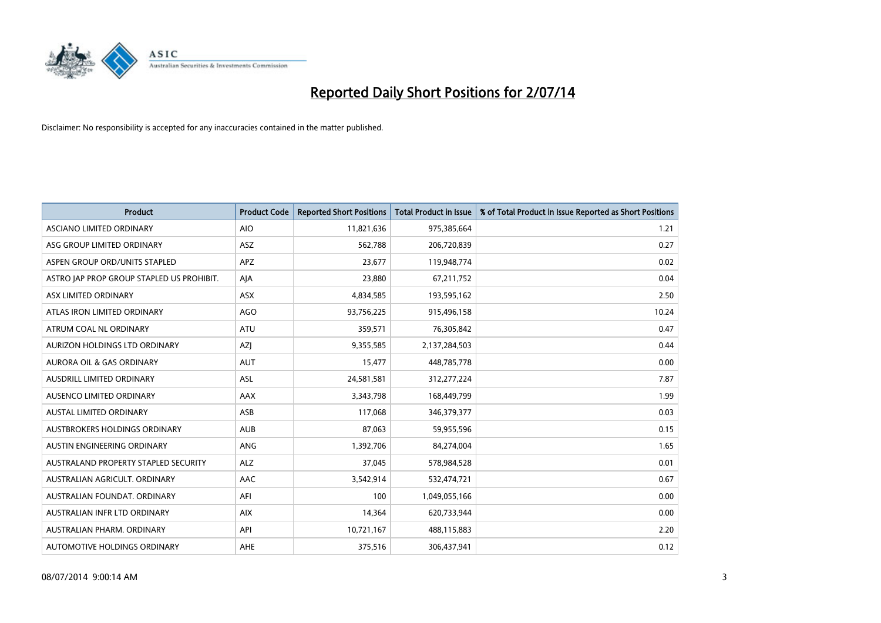

| <b>Product</b>                            | <b>Product Code</b> | <b>Reported Short Positions</b> | <b>Total Product in Issue</b> | % of Total Product in Issue Reported as Short Positions |
|-------------------------------------------|---------------------|---------------------------------|-------------------------------|---------------------------------------------------------|
| ASCIANO LIMITED ORDINARY                  | <b>AIO</b>          | 11,821,636                      | 975,385,664                   | 1.21                                                    |
| ASG GROUP LIMITED ORDINARY                | ASZ                 | 562,788                         | 206,720,839                   | 0.27                                                    |
| ASPEN GROUP ORD/UNITS STAPLED             | <b>APZ</b>          | 23,677                          | 119,948,774                   | 0.02                                                    |
| ASTRO JAP PROP GROUP STAPLED US PROHIBIT. | AJA                 | 23,880                          | 67,211,752                    | 0.04                                                    |
| ASX LIMITED ORDINARY                      | ASX                 | 4,834,585                       | 193,595,162                   | 2.50                                                    |
| ATLAS IRON LIMITED ORDINARY               | <b>AGO</b>          | 93,756,225                      | 915,496,158                   | 10.24                                                   |
| ATRUM COAL NL ORDINARY                    | ATU                 | 359,571                         | 76,305,842                    | 0.47                                                    |
| AURIZON HOLDINGS LTD ORDINARY             | AZJ                 | 9,355,585                       | 2,137,284,503                 | 0.44                                                    |
| <b>AURORA OIL &amp; GAS ORDINARY</b>      | <b>AUT</b>          | 15,477                          | 448,785,778                   | 0.00                                                    |
| AUSDRILL LIMITED ORDINARY                 | <b>ASL</b>          | 24,581,581                      | 312,277,224                   | 7.87                                                    |
| AUSENCO LIMITED ORDINARY                  | AAX                 | 3,343,798                       | 168,449,799                   | 1.99                                                    |
| AUSTAL LIMITED ORDINARY                   | ASB                 | 117,068                         | 346,379,377                   | 0.03                                                    |
| AUSTBROKERS HOLDINGS ORDINARY             | <b>AUB</b>          | 87,063                          | 59,955,596                    | 0.15                                                    |
| AUSTIN ENGINEERING ORDINARY               | ANG                 | 1,392,706                       | 84,274,004                    | 1.65                                                    |
| AUSTRALAND PROPERTY STAPLED SECURITY      | <b>ALZ</b>          | 37,045                          | 578,984,528                   | 0.01                                                    |
| AUSTRALIAN AGRICULT. ORDINARY             | AAC                 | 3,542,914                       | 532,474,721                   | 0.67                                                    |
| AUSTRALIAN FOUNDAT. ORDINARY              | AFI                 | 100                             | 1,049,055,166                 | 0.00                                                    |
| AUSTRALIAN INFR LTD ORDINARY              | <b>AIX</b>          | 14,364                          | 620,733,944                   | 0.00                                                    |
| AUSTRALIAN PHARM, ORDINARY                | API                 | 10,721,167                      | 488,115,883                   | 2.20                                                    |
| AUTOMOTIVE HOLDINGS ORDINARY              | AHE                 | 375,516                         | 306,437,941                   | 0.12                                                    |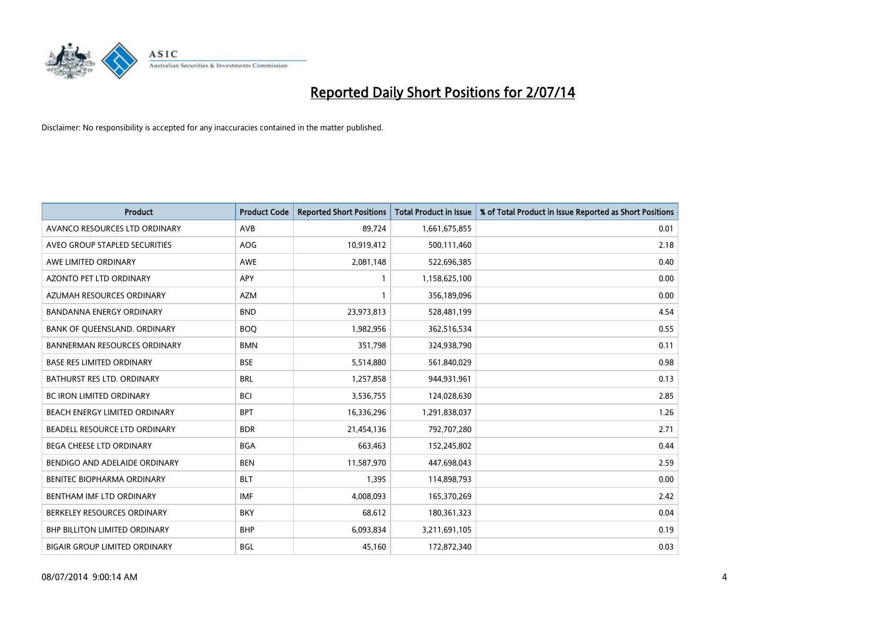

| <b>Product</b>                       | <b>Product Code</b> | <b>Reported Short Positions</b> | <b>Total Product in Issue</b> | % of Total Product in Issue Reported as Short Positions |
|--------------------------------------|---------------------|---------------------------------|-------------------------------|---------------------------------------------------------|
| AVANCO RESOURCES LTD ORDINARY        | AVB                 | 89,724                          | 1,661,675,855                 | 0.01                                                    |
| AVEO GROUP STAPLED SECURITIES        | AOG                 | 10,919,412                      | 500,111,460                   | 2.18                                                    |
| AWE LIMITED ORDINARY                 | AWE                 | 2,081,148                       | 522,696,385                   | 0.40                                                    |
| AZONTO PET LTD ORDINARY              | APY                 | 1                               | 1,158,625,100                 | 0.00                                                    |
| AZUMAH RESOURCES ORDINARY            | <b>AZM</b>          | 1                               | 356,189,096                   | 0.00                                                    |
| <b>BANDANNA ENERGY ORDINARY</b>      | <b>BND</b>          | 23,973,813                      | 528,481,199                   | 4.54                                                    |
| BANK OF QUEENSLAND. ORDINARY         | <b>BOO</b>          | 1,982,956                       | 362,516,534                   | 0.55                                                    |
| <b>BANNERMAN RESOURCES ORDINARY</b>  | <b>BMN</b>          | 351,798                         | 324,938,790                   | 0.11                                                    |
| <b>BASE RES LIMITED ORDINARY</b>     | <b>BSE</b>          | 5,514,880                       | 561,840,029                   | 0.98                                                    |
| <b>BATHURST RES LTD. ORDINARY</b>    | <b>BRL</b>          | 1,257,858                       | 944,931,961                   | 0.13                                                    |
| BC IRON LIMITED ORDINARY             | <b>BCI</b>          | 3,536,755                       | 124,028,630                   | 2.85                                                    |
| BEACH ENERGY LIMITED ORDINARY        | <b>BPT</b>          | 16,336,296                      | 1,291,838,037                 | 1.26                                                    |
| BEADELL RESOURCE LTD ORDINARY        | <b>BDR</b>          | 21,454,136                      | 792,707,280                   | 2.71                                                    |
| <b>BEGA CHEESE LTD ORDINARY</b>      | <b>BGA</b>          | 663,463                         | 152,245,802                   | 0.44                                                    |
| BENDIGO AND ADELAIDE ORDINARY        | <b>BEN</b>          | 11,587,970                      | 447,698,043                   | 2.59                                                    |
| BENITEC BIOPHARMA ORDINARY           | <b>BLT</b>          | 1,395                           | 114,898,793                   | 0.00                                                    |
| BENTHAM IMF LTD ORDINARY             | IMF                 | 4,008,093                       | 165,370,269                   | 2.42                                                    |
| BERKELEY RESOURCES ORDINARY          | <b>BKY</b>          | 68,612                          | 180,361,323                   | 0.04                                                    |
| <b>BHP BILLITON LIMITED ORDINARY</b> | <b>BHP</b>          | 6,093,834                       | 3,211,691,105                 | 0.19                                                    |
| <b>BIGAIR GROUP LIMITED ORDINARY</b> | <b>BGL</b>          | 45,160                          | 172,872,340                   | 0.03                                                    |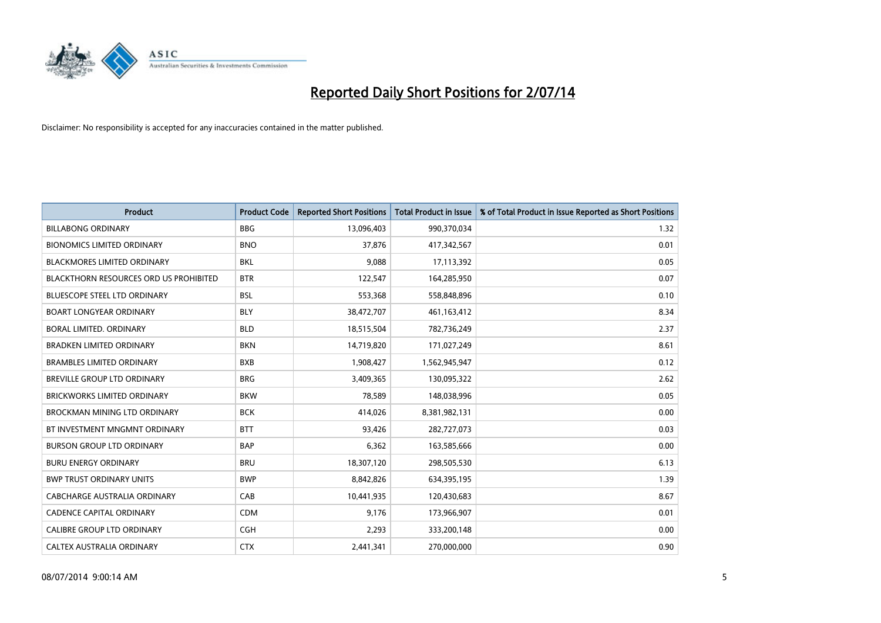

| <b>Product</b>                                | <b>Product Code</b> | <b>Reported Short Positions</b> | <b>Total Product in Issue</b> | % of Total Product in Issue Reported as Short Positions |
|-----------------------------------------------|---------------------|---------------------------------|-------------------------------|---------------------------------------------------------|
| <b>BILLABONG ORDINARY</b>                     | <b>BBG</b>          | 13,096,403                      | 990,370,034                   | 1.32                                                    |
| <b>BIONOMICS LIMITED ORDINARY</b>             | <b>BNO</b>          | 37,876                          | 417,342,567                   | 0.01                                                    |
| BLACKMORES LIMITED ORDINARY                   | <b>BKL</b>          | 9,088                           | 17,113,392                    | 0.05                                                    |
| <b>BLACKTHORN RESOURCES ORD US PROHIBITED</b> | <b>BTR</b>          | 122,547                         | 164,285,950                   | 0.07                                                    |
| <b>BLUESCOPE STEEL LTD ORDINARY</b>           | <b>BSL</b>          | 553,368                         | 558,848,896                   | 0.10                                                    |
| <b>BOART LONGYEAR ORDINARY</b>                | <b>BLY</b>          | 38,472,707                      | 461,163,412                   | 8.34                                                    |
| BORAL LIMITED, ORDINARY                       | <b>BLD</b>          | 18,515,504                      | 782,736,249                   | 2.37                                                    |
| <b>BRADKEN LIMITED ORDINARY</b>               | <b>BKN</b>          | 14,719,820                      | 171,027,249                   | 8.61                                                    |
| <b>BRAMBLES LIMITED ORDINARY</b>              | <b>BXB</b>          | 1,908,427                       | 1,562,945,947                 | 0.12                                                    |
| <b>BREVILLE GROUP LTD ORDINARY</b>            | <b>BRG</b>          | 3,409,365                       | 130,095,322                   | 2.62                                                    |
| <b>BRICKWORKS LIMITED ORDINARY</b>            | <b>BKW</b>          | 78,589                          | 148,038,996                   | 0.05                                                    |
| <b>BROCKMAN MINING LTD ORDINARY</b>           | <b>BCK</b>          | 414,026                         | 8,381,982,131                 | 0.00                                                    |
| BT INVESTMENT MNGMNT ORDINARY                 | <b>BTT</b>          | 93,426                          | 282,727,073                   | 0.03                                                    |
| <b>BURSON GROUP LTD ORDINARY</b>              | <b>BAP</b>          | 6,362                           | 163,585,666                   | 0.00                                                    |
| <b>BURU ENERGY ORDINARY</b>                   | <b>BRU</b>          | 18,307,120                      | 298,505,530                   | 6.13                                                    |
| <b>BWP TRUST ORDINARY UNITS</b>               | <b>BWP</b>          | 8,842,826                       | 634,395,195                   | 1.39                                                    |
| CABCHARGE AUSTRALIA ORDINARY                  | CAB                 | 10,441,935                      | 120,430,683                   | 8.67                                                    |
| <b>CADENCE CAPITAL ORDINARY</b>               | <b>CDM</b>          | 9,176                           | 173,966,907                   | 0.01                                                    |
| <b>CALIBRE GROUP LTD ORDINARY</b>             | <b>CGH</b>          | 2,293                           | 333,200,148                   | 0.00                                                    |
| CALTEX AUSTRALIA ORDINARY                     | <b>CTX</b>          | 2,441,341                       | 270,000,000                   | 0.90                                                    |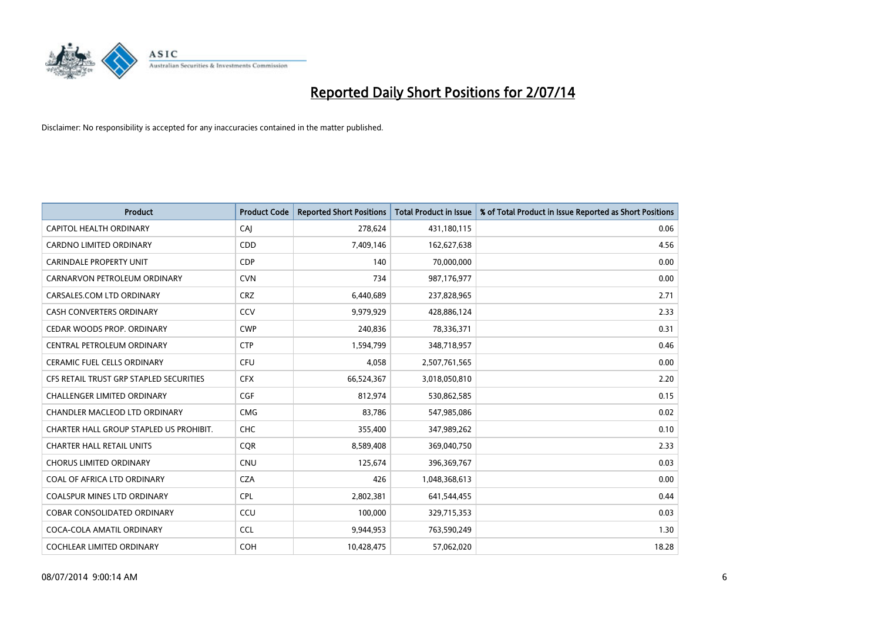

| <b>Product</b>                          | <b>Product Code</b> | <b>Reported Short Positions</b> | <b>Total Product in Issue</b> | % of Total Product in Issue Reported as Short Positions |
|-----------------------------------------|---------------------|---------------------------------|-------------------------------|---------------------------------------------------------|
| CAPITOL HEALTH ORDINARY                 | CAJ                 | 278,624                         | 431,180,115                   | 0.06                                                    |
| CARDNO LIMITED ORDINARY                 | CDD                 | 7,409,146                       | 162,627,638                   | 4.56                                                    |
| <b>CARINDALE PROPERTY UNIT</b>          | <b>CDP</b>          | 140                             | 70,000,000                    | 0.00                                                    |
| CARNARVON PETROLEUM ORDINARY            | <b>CVN</b>          | 734                             | 987,176,977                   | 0.00                                                    |
| CARSALES.COM LTD ORDINARY               | <b>CRZ</b>          | 6,440,689                       | 237,828,965                   | 2.71                                                    |
| <b>CASH CONVERTERS ORDINARY</b>         | CCV                 | 9,979,929                       | 428,886,124                   | 2.33                                                    |
| CEDAR WOODS PROP. ORDINARY              | <b>CWP</b>          | 240,836                         | 78,336,371                    | 0.31                                                    |
| CENTRAL PETROLEUM ORDINARY              | <b>CTP</b>          | 1,594,799                       | 348,718,957                   | 0.46                                                    |
| CERAMIC FUEL CELLS ORDINARY             | <b>CFU</b>          | 4,058                           | 2,507,761,565                 | 0.00                                                    |
| CFS RETAIL TRUST GRP STAPLED SECURITIES | <b>CFX</b>          | 66,524,367                      | 3,018,050,810                 | 2.20                                                    |
| <b>CHALLENGER LIMITED ORDINARY</b>      | <b>CGF</b>          | 812,974                         | 530,862,585                   | 0.15                                                    |
| CHANDLER MACLEOD LTD ORDINARY           | <b>CMG</b>          | 83,786                          | 547,985,086                   | 0.02                                                    |
| CHARTER HALL GROUP STAPLED US PROHIBIT. | <b>CHC</b>          | 355,400                         | 347,989,262                   | 0.10                                                    |
| <b>CHARTER HALL RETAIL UNITS</b>        | <b>COR</b>          | 8,589,408                       | 369,040,750                   | 2.33                                                    |
| <b>CHORUS LIMITED ORDINARY</b>          | <b>CNU</b>          | 125,674                         | 396,369,767                   | 0.03                                                    |
| COAL OF AFRICA LTD ORDINARY             | <b>CZA</b>          | 426                             | 1,048,368,613                 | 0.00                                                    |
| <b>COALSPUR MINES LTD ORDINARY</b>      | <b>CPL</b>          | 2,802,381                       | 641,544,455                   | 0.44                                                    |
| COBAR CONSOLIDATED ORDINARY             | CCU                 | 100,000                         | 329,715,353                   | 0.03                                                    |
| COCA-COLA AMATIL ORDINARY               | <b>CCL</b>          | 9,944,953                       | 763,590,249                   | 1.30                                                    |
| COCHLEAR LIMITED ORDINARY               | <b>COH</b>          | 10,428,475                      | 57,062,020                    | 18.28                                                   |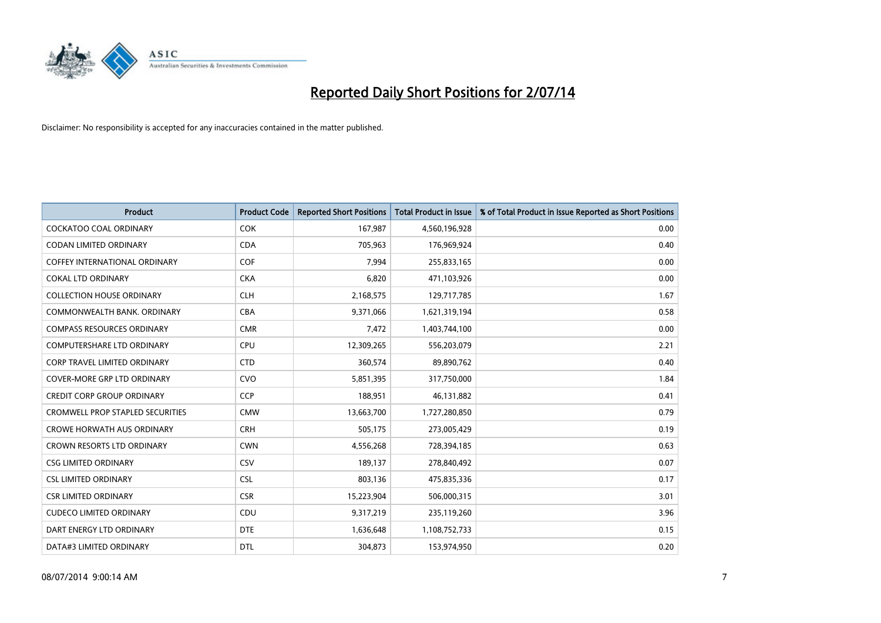

| <b>Product</b>                          | <b>Product Code</b> | <b>Reported Short Positions</b> | <b>Total Product in Issue</b> | % of Total Product in Issue Reported as Short Positions |
|-----------------------------------------|---------------------|---------------------------------|-------------------------------|---------------------------------------------------------|
| <b>COCKATOO COAL ORDINARY</b>           | <b>COK</b>          | 167,987                         | 4,560,196,928                 | 0.00                                                    |
| CODAN LIMITED ORDINARY                  | <b>CDA</b>          | 705,963                         | 176,969,924                   | 0.40                                                    |
| <b>COFFEY INTERNATIONAL ORDINARY</b>    | COF                 | 7,994                           | 255,833,165                   | 0.00                                                    |
| <b>COKAL LTD ORDINARY</b>               | <b>CKA</b>          | 6,820                           | 471,103,926                   | 0.00                                                    |
| <b>COLLECTION HOUSE ORDINARY</b>        | <b>CLH</b>          | 2,168,575                       | 129,717,785                   | 1.67                                                    |
| COMMONWEALTH BANK, ORDINARY             | <b>CBA</b>          | 9,371,066                       | 1,621,319,194                 | 0.58                                                    |
| <b>COMPASS RESOURCES ORDINARY</b>       | <b>CMR</b>          | 7,472                           | 1,403,744,100                 | 0.00                                                    |
| <b>COMPUTERSHARE LTD ORDINARY</b>       | <b>CPU</b>          | 12,309,265                      | 556,203,079                   | 2.21                                                    |
| CORP TRAVEL LIMITED ORDINARY            | <b>CTD</b>          | 360,574                         | 89,890,762                    | 0.40                                                    |
| <b>COVER-MORE GRP LTD ORDINARY</b>      | <b>CVO</b>          | 5,851,395                       | 317,750,000                   | 1.84                                                    |
| <b>CREDIT CORP GROUP ORDINARY</b>       | <b>CCP</b>          | 188,951                         | 46,131,882                    | 0.41                                                    |
| <b>CROMWELL PROP STAPLED SECURITIES</b> | <b>CMW</b>          | 13,663,700                      | 1,727,280,850                 | 0.79                                                    |
| <b>CROWE HORWATH AUS ORDINARY</b>       | <b>CRH</b>          | 505,175                         | 273,005,429                   | 0.19                                                    |
| <b>CROWN RESORTS LTD ORDINARY</b>       | <b>CWN</b>          | 4,556,268                       | 728,394,185                   | 0.63                                                    |
| <b>CSG LIMITED ORDINARY</b>             | CSV                 | 189,137                         | 278,840,492                   | 0.07                                                    |
| <b>CSL LIMITED ORDINARY</b>             | <b>CSL</b>          | 803,136                         | 475,835,336                   | 0.17                                                    |
| <b>CSR LIMITED ORDINARY</b>             | <b>CSR</b>          | 15,223,904                      | 506,000,315                   | 3.01                                                    |
| <b>CUDECO LIMITED ORDINARY</b>          | CDU                 | 9,317,219                       | 235,119,260                   | 3.96                                                    |
| DART ENERGY LTD ORDINARY                | <b>DTE</b>          | 1,636,648                       | 1,108,752,733                 | 0.15                                                    |
| DATA#3 LIMITED ORDINARY                 | <b>DTL</b>          | 304,873                         | 153,974,950                   | 0.20                                                    |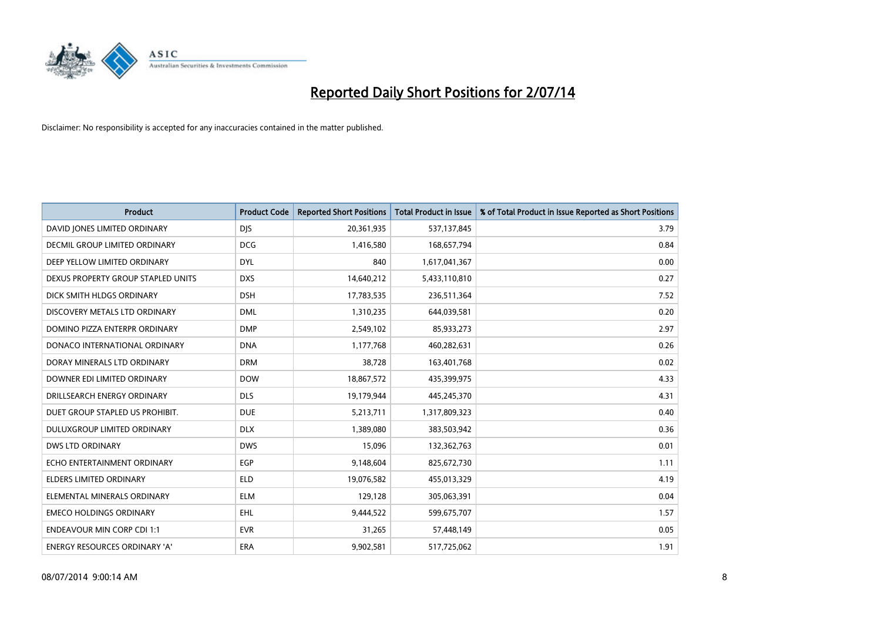

| <b>Product</b>                       | <b>Product Code</b> | <b>Reported Short Positions</b> | <b>Total Product in Issue</b> | % of Total Product in Issue Reported as Short Positions |
|--------------------------------------|---------------------|---------------------------------|-------------------------------|---------------------------------------------------------|
| DAVID JONES LIMITED ORDINARY         | <b>DJS</b>          | 20,361,935                      | 537,137,845                   | 3.79                                                    |
| DECMIL GROUP LIMITED ORDINARY        | <b>DCG</b>          | 1,416,580                       | 168,657,794                   | 0.84                                                    |
| DEEP YELLOW LIMITED ORDINARY         | <b>DYL</b>          | 840                             | 1,617,041,367                 | 0.00                                                    |
| DEXUS PROPERTY GROUP STAPLED UNITS   | <b>DXS</b>          | 14,640,212                      | 5,433,110,810                 | 0.27                                                    |
| DICK SMITH HLDGS ORDINARY            | <b>DSH</b>          | 17,783,535                      | 236,511,364                   | 7.52                                                    |
| DISCOVERY METALS LTD ORDINARY        | <b>DML</b>          | 1,310,235                       | 644,039,581                   | 0.20                                                    |
| DOMINO PIZZA ENTERPR ORDINARY        | <b>DMP</b>          | 2,549,102                       | 85,933,273                    | 2.97                                                    |
| DONACO INTERNATIONAL ORDINARY        | <b>DNA</b>          | 1,177,768                       | 460,282,631                   | 0.26                                                    |
| DORAY MINERALS LTD ORDINARY          | <b>DRM</b>          | 38,728                          | 163,401,768                   | 0.02                                                    |
| DOWNER EDI LIMITED ORDINARY          | <b>DOW</b>          | 18,867,572                      | 435,399,975                   | 4.33                                                    |
| DRILLSEARCH ENERGY ORDINARY          | <b>DLS</b>          | 19,179,944                      | 445,245,370                   | 4.31                                                    |
| DUET GROUP STAPLED US PROHIBIT.      | <b>DUE</b>          | 5,213,711                       | 1,317,809,323                 | 0.40                                                    |
| DULUXGROUP LIMITED ORDINARY          | <b>DLX</b>          | 1,389,080                       | 383,503,942                   | 0.36                                                    |
| DWS LTD ORDINARY                     | <b>DWS</b>          | 15,096                          | 132,362,763                   | 0.01                                                    |
| ECHO ENTERTAINMENT ORDINARY          | EGP                 | 9,148,604                       | 825,672,730                   | 1.11                                                    |
| ELDERS LIMITED ORDINARY              | <b>ELD</b>          | 19,076,582                      | 455,013,329                   | 4.19                                                    |
| ELEMENTAL MINERALS ORDINARY          | <b>ELM</b>          | 129,128                         | 305,063,391                   | 0.04                                                    |
| <b>EMECO HOLDINGS ORDINARY</b>       | <b>EHL</b>          | 9,444,522                       | 599,675,707                   | 1.57                                                    |
| <b>ENDEAVOUR MIN CORP CDI 1:1</b>    | <b>EVR</b>          | 31,265                          | 57,448,149                    | 0.05                                                    |
| <b>ENERGY RESOURCES ORDINARY 'A'</b> | ERA                 | 9,902,581                       | 517,725,062                   | 1.91                                                    |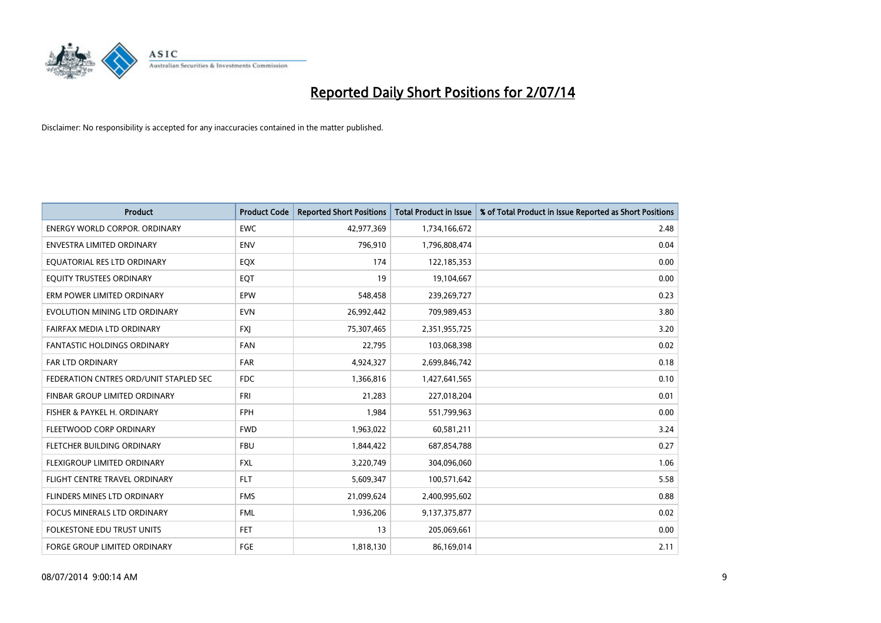

| <b>Product</b>                         | <b>Product Code</b> | <b>Reported Short Positions</b> | <b>Total Product in Issue</b> | % of Total Product in Issue Reported as Short Positions |
|----------------------------------------|---------------------|---------------------------------|-------------------------------|---------------------------------------------------------|
| <b>ENERGY WORLD CORPOR, ORDINARY</b>   | <b>EWC</b>          | 42,977,369                      | 1,734,166,672                 | 2.48                                                    |
| ENVESTRA LIMITED ORDINARY              | <b>ENV</b>          | 796,910                         | 1,796,808,474                 | 0.04                                                    |
| EQUATORIAL RES LTD ORDINARY            | EQX                 | 174                             | 122,185,353                   | 0.00                                                    |
| EQUITY TRUSTEES ORDINARY               | EQT                 | 19                              | 19,104,667                    | 0.00                                                    |
| ERM POWER LIMITED ORDINARY             | EPW                 | 548,458                         | 239,269,727                   | 0.23                                                    |
| EVOLUTION MINING LTD ORDINARY          | <b>EVN</b>          | 26,992,442                      | 709,989,453                   | 3.80                                                    |
| FAIRFAX MEDIA LTD ORDINARY             | <b>FXI</b>          | 75,307,465                      | 2,351,955,725                 | 3.20                                                    |
| FANTASTIC HOLDINGS ORDINARY            | <b>FAN</b>          | 22,795                          | 103,068,398                   | 0.02                                                    |
| <b>FAR LTD ORDINARY</b>                | <b>FAR</b>          | 4,924,327                       | 2,699,846,742                 | 0.18                                                    |
| FEDERATION CNTRES ORD/UNIT STAPLED SEC | <b>FDC</b>          | 1,366,816                       | 1,427,641,565                 | 0.10                                                    |
| FINBAR GROUP LIMITED ORDINARY          | FRI                 | 21,283                          | 227,018,204                   | 0.01                                                    |
| FISHER & PAYKEL H. ORDINARY            | <b>FPH</b>          | 1,984                           | 551,799,963                   | 0.00                                                    |
| FLEETWOOD CORP ORDINARY                | <b>FWD</b>          | 1,963,022                       | 60,581,211                    | 3.24                                                    |
| FLETCHER BUILDING ORDINARY             | <b>FBU</b>          | 1,844,422                       | 687,854,788                   | 0.27                                                    |
| FLEXIGROUP LIMITED ORDINARY            | <b>FXL</b>          | 3,220,749                       | 304,096,060                   | 1.06                                                    |
| FLIGHT CENTRE TRAVEL ORDINARY          | <b>FLT</b>          | 5,609,347                       | 100,571,642                   | 5.58                                                    |
| FLINDERS MINES LTD ORDINARY            | <b>FMS</b>          | 21,099,624                      | 2,400,995,602                 | 0.88                                                    |
| <b>FOCUS MINERALS LTD ORDINARY</b>     | <b>FML</b>          | 1,936,206                       | 9,137,375,877                 | 0.02                                                    |
| <b>FOLKESTONE EDU TRUST UNITS</b>      | <b>FET</b>          | 13                              | 205,069,661                   | 0.00                                                    |
| FORGE GROUP LIMITED ORDINARY           | <b>FGE</b>          | 1,818,130                       | 86,169,014                    | 2.11                                                    |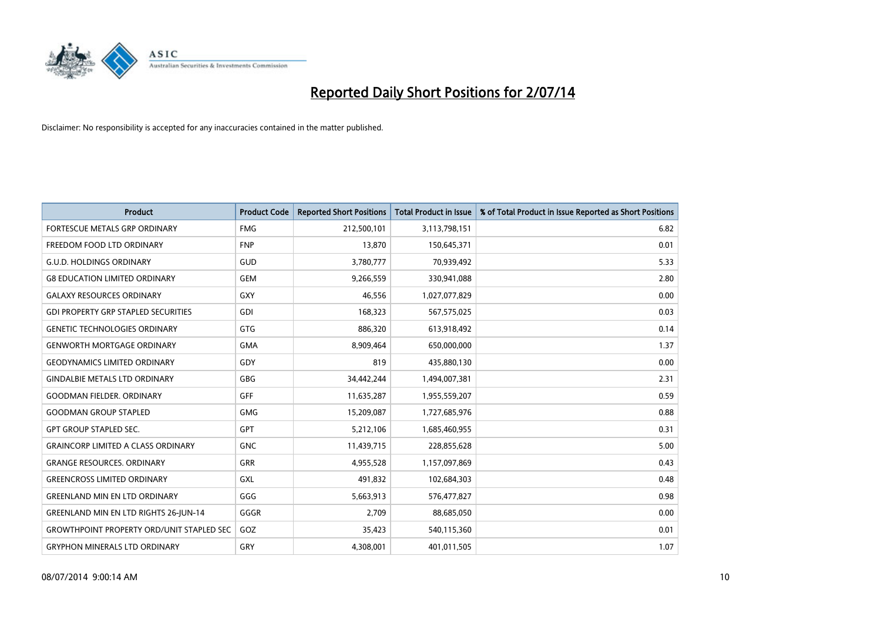

| <b>Product</b>                                   | <b>Product Code</b> | <b>Reported Short Positions</b> | <b>Total Product in Issue</b> | % of Total Product in Issue Reported as Short Positions |
|--------------------------------------------------|---------------------|---------------------------------|-------------------------------|---------------------------------------------------------|
| FORTESCUE METALS GRP ORDINARY                    | <b>FMG</b>          | 212,500,101                     | 3,113,798,151                 | 6.82                                                    |
| FREEDOM FOOD LTD ORDINARY                        | <b>FNP</b>          | 13,870                          | 150,645,371                   | 0.01                                                    |
| <b>G.U.D. HOLDINGS ORDINARY</b>                  | GUD                 | 3,780,777                       | 70,939,492                    | 5.33                                                    |
| <b>G8 EDUCATION LIMITED ORDINARY</b>             | <b>GEM</b>          | 9,266,559                       | 330,941,088                   | 2.80                                                    |
| <b>GALAXY RESOURCES ORDINARY</b>                 | GXY                 | 46,556                          | 1,027,077,829                 | 0.00                                                    |
| <b>GDI PROPERTY GRP STAPLED SECURITIES</b>       | <b>GDI</b>          | 168,323                         | 567,575,025                   | 0.03                                                    |
| <b>GENETIC TECHNOLOGIES ORDINARY</b>             | <b>GTG</b>          | 886,320                         | 613,918,492                   | 0.14                                                    |
| <b>GENWORTH MORTGAGE ORDINARY</b>                | <b>GMA</b>          | 8,909,464                       | 650,000,000                   | 1.37                                                    |
| <b>GEODYNAMICS LIMITED ORDINARY</b>              | GDY                 | 819                             | 435,880,130                   | 0.00                                                    |
| <b>GINDALBIE METALS LTD ORDINARY</b>             | GBG                 | 34,442,244                      | 1,494,007,381                 | 2.31                                                    |
| <b>GOODMAN FIELDER. ORDINARY</b>                 | GFF                 | 11,635,287                      | 1,955,559,207                 | 0.59                                                    |
| <b>GOODMAN GROUP STAPLED</b>                     | <b>GMG</b>          | 15,209,087                      | 1,727,685,976                 | 0.88                                                    |
| <b>GPT GROUP STAPLED SEC.</b>                    | GPT                 | 5,212,106                       | 1,685,460,955                 | 0.31                                                    |
| <b>GRAINCORP LIMITED A CLASS ORDINARY</b>        | <b>GNC</b>          | 11,439,715                      | 228,855,628                   | 5.00                                                    |
| <b>GRANGE RESOURCES. ORDINARY</b>                | GRR                 | 4,955,528                       | 1,157,097,869                 | 0.43                                                    |
| <b>GREENCROSS LIMITED ORDINARY</b>               | GXL                 | 491,832                         | 102,684,303                   | 0.48                                                    |
| <b>GREENLAND MIN EN LTD ORDINARY</b>             | GGG                 | 5,663,913                       | 576,477,827                   | 0.98                                                    |
| <b>GREENLAND MIN EN LTD RIGHTS 26-JUN-14</b>     | GGGR                | 2.709                           | 88,685,050                    | 0.00                                                    |
| <b>GROWTHPOINT PROPERTY ORD/UNIT STAPLED SEC</b> | GOZ                 | 35,423                          | 540,115,360                   | 0.01                                                    |
| <b>GRYPHON MINERALS LTD ORDINARY</b>             | GRY                 | 4,308,001                       | 401,011,505                   | 1.07                                                    |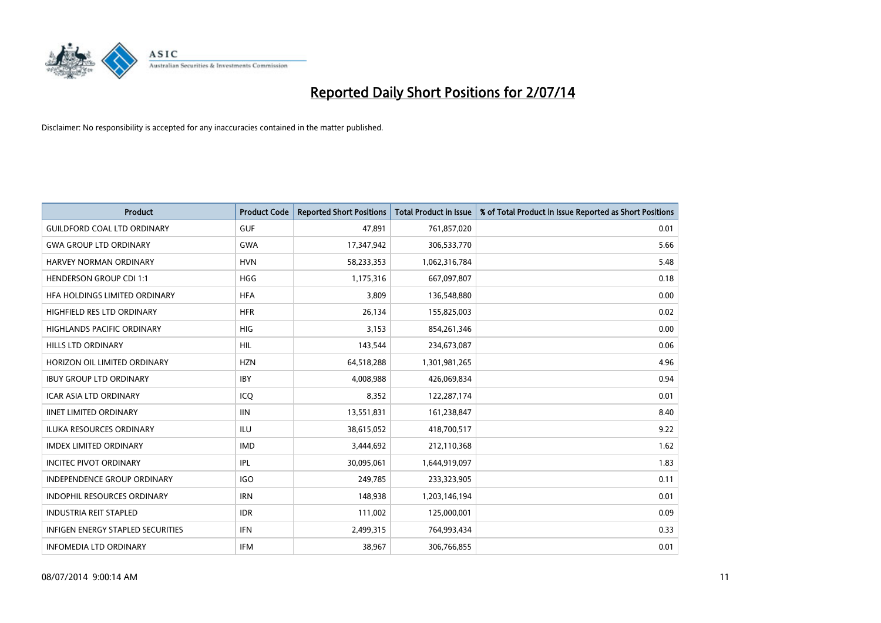

| <b>Product</b>                           | <b>Product Code</b> | <b>Reported Short Positions</b> | <b>Total Product in Issue</b> | % of Total Product in Issue Reported as Short Positions |
|------------------------------------------|---------------------|---------------------------------|-------------------------------|---------------------------------------------------------|
| <b>GUILDFORD COAL LTD ORDINARY</b>       | <b>GUF</b>          | 47,891                          | 761,857,020                   | 0.01                                                    |
| <b>GWA GROUP LTD ORDINARY</b>            | <b>GWA</b>          | 17,347,942                      | 306,533,770                   | 5.66                                                    |
| HARVEY NORMAN ORDINARY                   | <b>HVN</b>          | 58,233,353                      | 1,062,316,784                 | 5.48                                                    |
| <b>HENDERSON GROUP CDI 1:1</b>           | <b>HGG</b>          | 1,175,316                       | 667,097,807                   | 0.18                                                    |
| HEA HOLDINGS LIMITED ORDINARY            | <b>HFA</b>          | 3,809                           | 136,548,880                   | 0.00                                                    |
| HIGHFIELD RES LTD ORDINARY               | <b>HFR</b>          | 26,134                          | 155,825,003                   | 0.02                                                    |
| <b>HIGHLANDS PACIFIC ORDINARY</b>        | <b>HIG</b>          | 3,153                           | 854,261,346                   | 0.00                                                    |
| <b>HILLS LTD ORDINARY</b>                | <b>HIL</b>          | 143,544                         | 234,673,087                   | 0.06                                                    |
| HORIZON OIL LIMITED ORDINARY             | <b>HZN</b>          | 64,518,288                      | 1,301,981,265                 | 4.96                                                    |
| <b>IBUY GROUP LTD ORDINARY</b>           | <b>IBY</b>          | 4,008,988                       | 426,069,834                   | 0.94                                                    |
| ICAR ASIA LTD ORDINARY                   | ICQ                 | 8,352                           | 122,287,174                   | 0.01                                                    |
| <b>IINET LIMITED ORDINARY</b>            | <b>IIN</b>          | 13,551,831                      | 161,238,847                   | 8.40                                                    |
| ILUKA RESOURCES ORDINARY                 | ILU                 | 38,615,052                      | 418,700,517                   | 9.22                                                    |
| <b>IMDEX LIMITED ORDINARY</b>            | <b>IMD</b>          | 3,444,692                       | 212,110,368                   | 1.62                                                    |
| <b>INCITEC PIVOT ORDINARY</b>            | IPL                 | 30,095,061                      | 1,644,919,097                 | 1.83                                                    |
| INDEPENDENCE GROUP ORDINARY              | <b>IGO</b>          | 249,785                         | 233,323,905                   | 0.11                                                    |
| INDOPHIL RESOURCES ORDINARY              | <b>IRN</b>          | 148,938                         | 1,203,146,194                 | 0.01                                                    |
| <b>INDUSTRIA REIT STAPLED</b>            | <b>IDR</b>          | 111,002                         | 125,000,001                   | 0.09                                                    |
| <b>INFIGEN ENERGY STAPLED SECURITIES</b> | IFN                 | 2,499,315                       | 764,993,434                   | 0.33                                                    |
| <b>INFOMEDIA LTD ORDINARY</b>            | IFM                 | 38,967                          | 306,766,855                   | 0.01                                                    |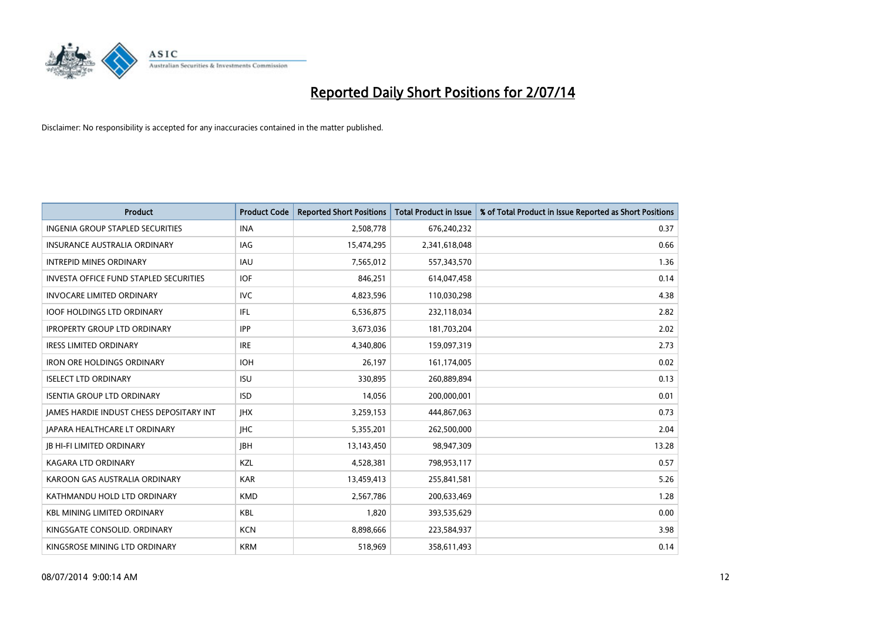

| <b>Product</b>                                | <b>Product Code</b> | <b>Reported Short Positions</b> | <b>Total Product in Issue</b> | % of Total Product in Issue Reported as Short Positions |
|-----------------------------------------------|---------------------|---------------------------------|-------------------------------|---------------------------------------------------------|
| <b>INGENIA GROUP STAPLED SECURITIES</b>       | <b>INA</b>          | 2,508,778                       | 676,240,232                   | 0.37                                                    |
| INSURANCE AUSTRALIA ORDINARY                  | IAG                 | 15,474,295                      | 2,341,618,048                 | 0.66                                                    |
| <b>INTREPID MINES ORDINARY</b>                | IAU                 | 7,565,012                       | 557,343,570                   | 1.36                                                    |
| <b>INVESTA OFFICE FUND STAPLED SECURITIES</b> | <b>IOF</b>          | 846,251                         | 614,047,458                   | 0.14                                                    |
| <b>INVOCARE LIMITED ORDINARY</b>              | <b>IVC</b>          | 4,823,596                       | 110,030,298                   | 4.38                                                    |
| <b>IOOF HOLDINGS LTD ORDINARY</b>             | IFL                 | 6,536,875                       | 232,118,034                   | 2.82                                                    |
| <b>IPROPERTY GROUP LTD ORDINARY</b>           | <b>IPP</b>          | 3,673,036                       | 181,703,204                   | 2.02                                                    |
| <b>IRESS LIMITED ORDINARY</b>                 | <b>IRE</b>          | 4,340,806                       | 159,097,319                   | 2.73                                                    |
| <b>IRON ORE HOLDINGS ORDINARY</b>             | <b>IOH</b>          | 26,197                          | 161,174,005                   | 0.02                                                    |
| <b>ISELECT LTD ORDINARY</b>                   | <b>ISU</b>          | 330,895                         | 260,889,894                   | 0.13                                                    |
| <b>ISENTIA GROUP LTD ORDINARY</b>             | <b>ISD</b>          | 14,056                          | 200,000,001                   | 0.01                                                    |
| JAMES HARDIE INDUST CHESS DEPOSITARY INT      | <b>IHX</b>          | 3,259,153                       | 444,867,063                   | 0.73                                                    |
| <b>JAPARA HEALTHCARE LT ORDINARY</b>          | <b>IHC</b>          | 5,355,201                       | 262,500,000                   | 2.04                                                    |
| <b>IB HI-FI LIMITED ORDINARY</b>              | <b>IBH</b>          | 13,143,450                      | 98,947,309                    | 13.28                                                   |
| <b>KAGARA LTD ORDINARY</b>                    | KZL                 | 4,528,381                       | 798,953,117                   | 0.57                                                    |
| KAROON GAS AUSTRALIA ORDINARY                 | <b>KAR</b>          | 13,459,413                      | 255,841,581                   | 5.26                                                    |
| KATHMANDU HOLD LTD ORDINARY                   | <b>KMD</b>          | 2,567,786                       | 200,633,469                   | 1.28                                                    |
| <b>KBL MINING LIMITED ORDINARY</b>            | <b>KBL</b>          | 1,820                           | 393,535,629                   | 0.00                                                    |
| KINGSGATE CONSOLID. ORDINARY                  | <b>KCN</b>          | 8,898,666                       | 223,584,937                   | 3.98                                                    |
| KINGSROSE MINING LTD ORDINARY                 | <b>KRM</b>          | 518,969                         | 358,611,493                   | 0.14                                                    |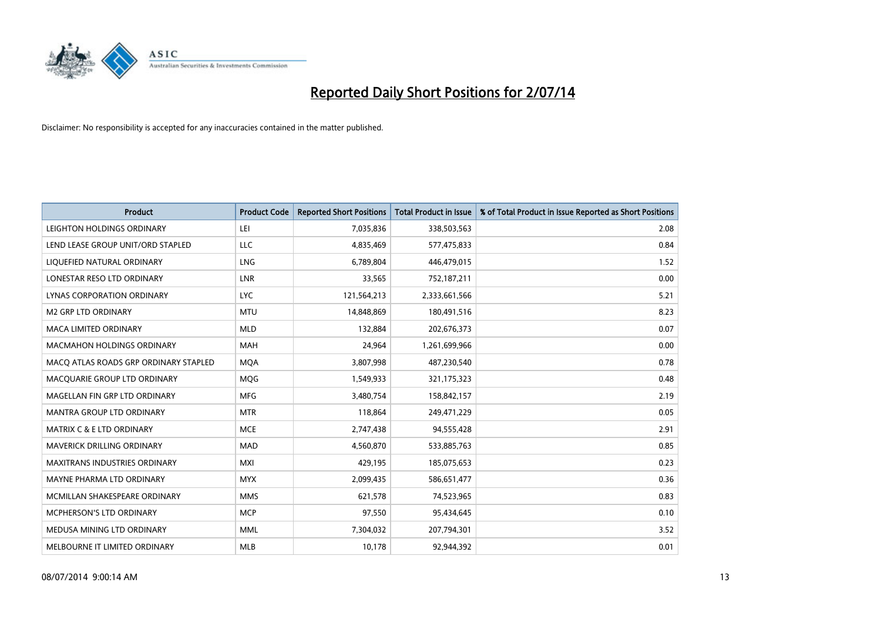

| <b>Product</b>                        | <b>Product Code</b> | <b>Reported Short Positions</b> | <b>Total Product in Issue</b> | % of Total Product in Issue Reported as Short Positions |
|---------------------------------------|---------------------|---------------------------------|-------------------------------|---------------------------------------------------------|
| LEIGHTON HOLDINGS ORDINARY            | LEI                 | 7,035,836                       | 338,503,563                   | 2.08                                                    |
| LEND LEASE GROUP UNIT/ORD STAPLED     | <b>LLC</b>          | 4,835,469                       | 577,475,833                   | 0.84                                                    |
| LIQUEFIED NATURAL ORDINARY            | <b>LNG</b>          | 6,789,804                       | 446,479,015                   | 1.52                                                    |
| LONESTAR RESO LTD ORDINARY            | <b>LNR</b>          | 33,565                          | 752,187,211                   | 0.00                                                    |
| LYNAS CORPORATION ORDINARY            | <b>LYC</b>          | 121,564,213                     | 2,333,661,566                 | 5.21                                                    |
| <b>M2 GRP LTD ORDINARY</b>            | <b>MTU</b>          | 14,848,869                      | 180,491,516                   | 8.23                                                    |
| <b>MACA LIMITED ORDINARY</b>          | <b>MLD</b>          | 132,884                         | 202,676,373                   | 0.07                                                    |
| MACMAHON HOLDINGS ORDINARY            | MAH                 | 24,964                          | 1,261,699,966                 | 0.00                                                    |
| MACO ATLAS ROADS GRP ORDINARY STAPLED | <b>MOA</b>          | 3,807,998                       | 487,230,540                   | 0.78                                                    |
| MACQUARIE GROUP LTD ORDINARY          | <b>MOG</b>          | 1,549,933                       | 321,175,323                   | 0.48                                                    |
| MAGELLAN FIN GRP LTD ORDINARY         | <b>MFG</b>          | 3,480,754                       | 158,842,157                   | 2.19                                                    |
| <b>MANTRA GROUP LTD ORDINARY</b>      | <b>MTR</b>          | 118,864                         | 249,471,229                   | 0.05                                                    |
| <b>MATRIX C &amp; E LTD ORDINARY</b>  | <b>MCE</b>          | 2,747,438                       | 94,555,428                    | 2.91                                                    |
| MAVERICK DRILLING ORDINARY            | <b>MAD</b>          | 4,560,870                       | 533,885,763                   | 0.85                                                    |
| <b>MAXITRANS INDUSTRIES ORDINARY</b>  | <b>MXI</b>          | 429,195                         | 185,075,653                   | 0.23                                                    |
| MAYNE PHARMA LTD ORDINARY             | <b>MYX</b>          | 2,099,435                       | 586,651,477                   | 0.36                                                    |
| MCMILLAN SHAKESPEARE ORDINARY         | <b>MMS</b>          | 621,578                         | 74,523,965                    | 0.83                                                    |
| MCPHERSON'S LTD ORDINARY              | <b>MCP</b>          | 97,550                          | 95,434,645                    | 0.10                                                    |
| MEDUSA MINING LTD ORDINARY            | <b>MML</b>          | 7,304,032                       | 207,794,301                   | 3.52                                                    |
| MELBOURNE IT LIMITED ORDINARY         | <b>MLB</b>          | 10,178                          | 92,944,392                    | 0.01                                                    |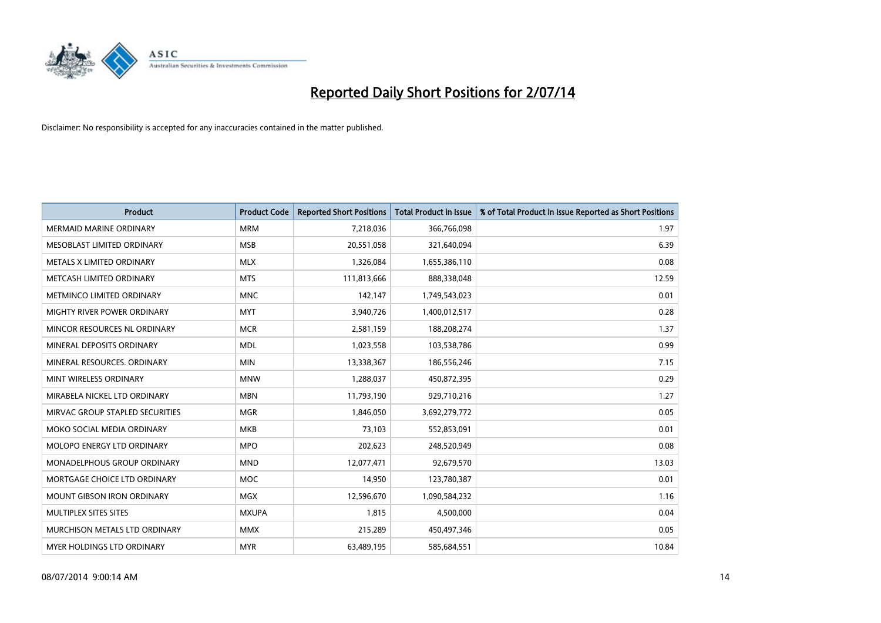

| <b>Product</b>                    | <b>Product Code</b> | <b>Reported Short Positions</b> | <b>Total Product in Issue</b> | % of Total Product in Issue Reported as Short Positions |
|-----------------------------------|---------------------|---------------------------------|-------------------------------|---------------------------------------------------------|
| <b>MERMAID MARINE ORDINARY</b>    | <b>MRM</b>          | 7,218,036                       | 366,766,098                   | 1.97                                                    |
| MESOBLAST LIMITED ORDINARY        | <b>MSB</b>          | 20,551,058                      | 321,640,094                   | 6.39                                                    |
| METALS X LIMITED ORDINARY         | <b>MLX</b>          | 1,326,084                       | 1,655,386,110                 | 0.08                                                    |
| METCASH LIMITED ORDINARY          | <b>MTS</b>          | 111,813,666                     | 888,338,048                   | 12.59                                                   |
| METMINCO LIMITED ORDINARY         | <b>MNC</b>          | 142,147                         | 1,749,543,023                 | 0.01                                                    |
| MIGHTY RIVER POWER ORDINARY       | <b>MYT</b>          | 3,940,726                       | 1,400,012,517                 | 0.28                                                    |
| MINCOR RESOURCES NL ORDINARY      | <b>MCR</b>          | 2,581,159                       | 188,208,274                   | 1.37                                                    |
| MINERAL DEPOSITS ORDINARY         | <b>MDL</b>          | 1,023,558                       | 103,538,786                   | 0.99                                                    |
| MINERAL RESOURCES, ORDINARY       | <b>MIN</b>          | 13,338,367                      | 186,556,246                   | 7.15                                                    |
| MINT WIRELESS ORDINARY            | <b>MNW</b>          | 1,288,037                       | 450,872,395                   | 0.29                                                    |
| MIRABELA NICKEL LTD ORDINARY      | <b>MBN</b>          | 11,793,190                      | 929,710,216                   | 1.27                                                    |
| MIRVAC GROUP STAPLED SECURITIES   | <b>MGR</b>          | 1,846,050                       | 3,692,279,772                 | 0.05                                                    |
| MOKO SOCIAL MEDIA ORDINARY        | <b>MKB</b>          | 73,103                          | 552,853,091                   | 0.01                                                    |
| <b>MOLOPO ENERGY LTD ORDINARY</b> | <b>MPO</b>          | 202,623                         | 248,520,949                   | 0.08                                                    |
| MONADELPHOUS GROUP ORDINARY       | <b>MND</b>          | 12,077,471                      | 92,679,570                    | 13.03                                                   |
| MORTGAGE CHOICE LTD ORDINARY      | MOC                 | 14,950                          | 123,780,387                   | 0.01                                                    |
| MOUNT GIBSON IRON ORDINARY        | MGX                 | 12,596,670                      | 1,090,584,232                 | 1.16                                                    |
| MULTIPLEX SITES SITES             | <b>MXUPA</b>        | 1,815                           | 4,500,000                     | 0.04                                                    |
| MURCHISON METALS LTD ORDINARY     | <b>MMX</b>          | 215,289                         | 450,497,346                   | 0.05                                                    |
| MYER HOLDINGS LTD ORDINARY        | <b>MYR</b>          | 63,489,195                      | 585,684,551                   | 10.84                                                   |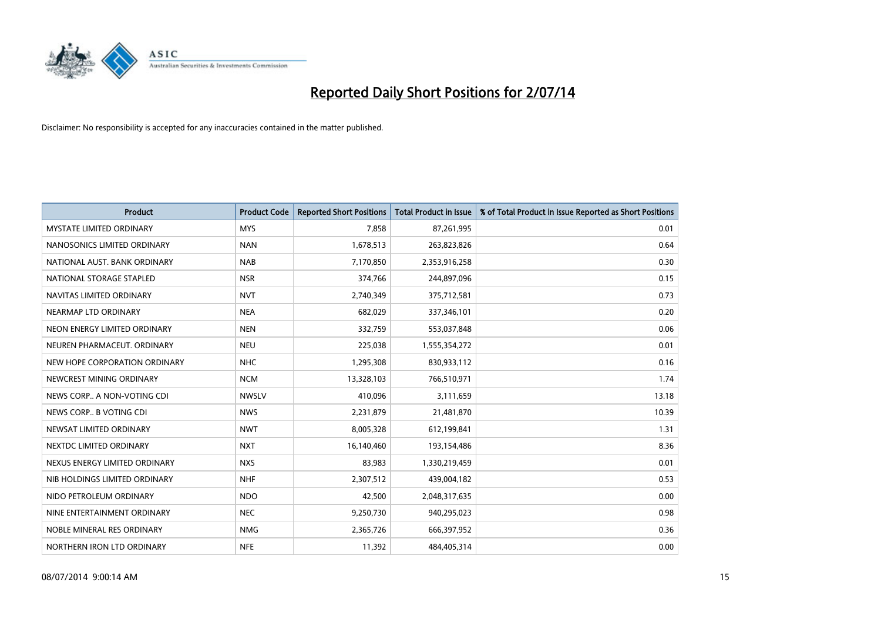

| <b>Product</b>                  | <b>Product Code</b> | <b>Reported Short Positions</b> | <b>Total Product in Issue</b> | % of Total Product in Issue Reported as Short Positions |
|---------------------------------|---------------------|---------------------------------|-------------------------------|---------------------------------------------------------|
| <b>MYSTATE LIMITED ORDINARY</b> | <b>MYS</b>          | 7,858                           | 87,261,995                    | 0.01                                                    |
| NANOSONICS LIMITED ORDINARY     | <b>NAN</b>          | 1,678,513                       | 263,823,826                   | 0.64                                                    |
| NATIONAL AUST. BANK ORDINARY    | <b>NAB</b>          | 7,170,850                       | 2,353,916,258                 | 0.30                                                    |
| NATIONAL STORAGE STAPLED        | <b>NSR</b>          | 374,766                         | 244,897,096                   | 0.15                                                    |
| NAVITAS LIMITED ORDINARY        | <b>NVT</b>          | 2,740,349                       | 375,712,581                   | 0.73                                                    |
| NEARMAP LTD ORDINARY            | <b>NEA</b>          | 682,029                         | 337,346,101                   | 0.20                                                    |
| NEON ENERGY LIMITED ORDINARY    | <b>NEN</b>          | 332,759                         | 553,037,848                   | 0.06                                                    |
| NEUREN PHARMACEUT. ORDINARY     | <b>NEU</b>          | 225,038                         | 1,555,354,272                 | 0.01                                                    |
| NEW HOPE CORPORATION ORDINARY   | <b>NHC</b>          | 1,295,308                       | 830,933,112                   | 0.16                                                    |
| NEWCREST MINING ORDINARY        | <b>NCM</b>          | 13,328,103                      | 766,510,971                   | 1.74                                                    |
| NEWS CORP A NON-VOTING CDI      | <b>NWSLV</b>        | 410,096                         | 3,111,659                     | 13.18                                                   |
| NEWS CORP B VOTING CDI          | <b>NWS</b>          | 2,231,879                       | 21,481,870                    | 10.39                                                   |
| NEWSAT LIMITED ORDINARY         | <b>NWT</b>          | 8,005,328                       | 612,199,841                   | 1.31                                                    |
| NEXTDC LIMITED ORDINARY         | <b>NXT</b>          | 16,140,460                      | 193,154,486                   | 8.36                                                    |
| NEXUS ENERGY LIMITED ORDINARY   | <b>NXS</b>          | 83,983                          | 1,330,219,459                 | 0.01                                                    |
| NIB HOLDINGS LIMITED ORDINARY   | <b>NHF</b>          | 2,307,512                       | 439,004,182                   | 0.53                                                    |
| NIDO PETROLEUM ORDINARY         | <b>NDO</b>          | 42,500                          | 2,048,317,635                 | 0.00                                                    |
| NINE ENTERTAINMENT ORDINARY     | <b>NEC</b>          | 9,250,730                       | 940,295,023                   | 0.98                                                    |
| NOBLE MINERAL RES ORDINARY      | <b>NMG</b>          | 2,365,726                       | 666,397,952                   | 0.36                                                    |
| NORTHERN IRON LTD ORDINARY      | <b>NFE</b>          | 11,392                          | 484,405,314                   | 0.00                                                    |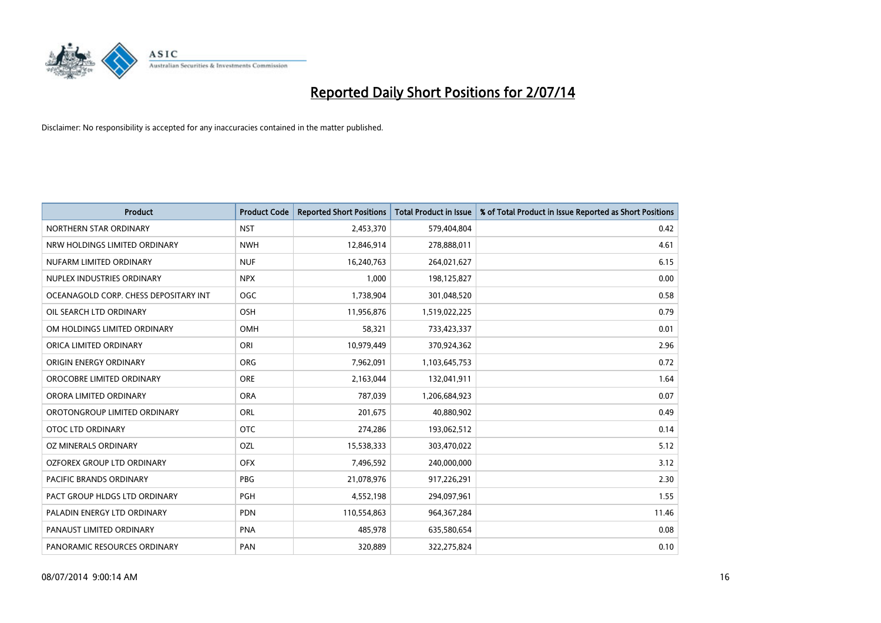

| <b>Product</b>                        | <b>Product Code</b> | <b>Reported Short Positions</b> | <b>Total Product in Issue</b> | % of Total Product in Issue Reported as Short Positions |
|---------------------------------------|---------------------|---------------------------------|-------------------------------|---------------------------------------------------------|
| NORTHERN STAR ORDINARY                | <b>NST</b>          | 2,453,370                       | 579,404,804                   | 0.42                                                    |
| NRW HOLDINGS LIMITED ORDINARY         | <b>NWH</b>          | 12,846,914                      | 278,888,011                   | 4.61                                                    |
| NUFARM LIMITED ORDINARY               | <b>NUF</b>          | 16,240,763                      | 264,021,627                   | 6.15                                                    |
| NUPLEX INDUSTRIES ORDINARY            | <b>NPX</b>          | 1,000                           | 198,125,827                   | 0.00                                                    |
| OCEANAGOLD CORP. CHESS DEPOSITARY INT | <b>OGC</b>          | 1,738,904                       | 301,048,520                   | 0.58                                                    |
| OIL SEARCH LTD ORDINARY               | OSH                 | 11,956,876                      | 1,519,022,225                 | 0.79                                                    |
| OM HOLDINGS LIMITED ORDINARY          | OMH                 | 58,321                          | 733,423,337                   | 0.01                                                    |
| ORICA LIMITED ORDINARY                | ORI                 | 10,979,449                      | 370,924,362                   | 2.96                                                    |
| ORIGIN ENERGY ORDINARY                | <b>ORG</b>          | 7,962,091                       | 1,103,645,753                 | 0.72                                                    |
| OROCOBRE LIMITED ORDINARY             | <b>ORE</b>          | 2,163,044                       | 132,041,911                   | 1.64                                                    |
| ORORA LIMITED ORDINARY                | <b>ORA</b>          | 787,039                         | 1,206,684,923                 | 0.07                                                    |
| OROTONGROUP LIMITED ORDINARY          | ORL                 | 201,675                         | 40,880,902                    | 0.49                                                    |
| <b>OTOC LTD ORDINARY</b>              | <b>OTC</b>          | 274,286                         | 193,062,512                   | 0.14                                                    |
| OZ MINERALS ORDINARY                  | OZL                 | 15,538,333                      | 303,470,022                   | 5.12                                                    |
| OZFOREX GROUP LTD ORDINARY            | <b>OFX</b>          | 7,496,592                       | 240,000,000                   | 3.12                                                    |
| PACIFIC BRANDS ORDINARY               | <b>PBG</b>          | 21,078,976                      | 917,226,291                   | 2.30                                                    |
| PACT GROUP HLDGS LTD ORDINARY         | PGH                 | 4,552,198                       | 294,097,961                   | 1.55                                                    |
| PALADIN ENERGY LTD ORDINARY           | <b>PDN</b>          | 110,554,863                     | 964, 367, 284                 | 11.46                                                   |
| PANAUST LIMITED ORDINARY              | <b>PNA</b>          | 485,978                         | 635,580,654                   | 0.08                                                    |
| PANORAMIC RESOURCES ORDINARY          | PAN                 | 320,889                         | 322,275,824                   | 0.10                                                    |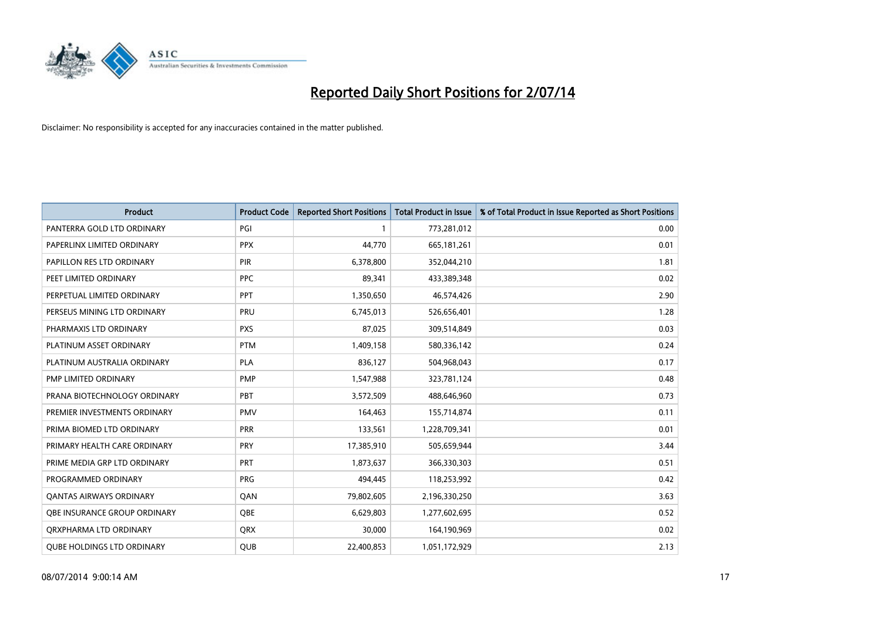

| <b>Product</b>                    | <b>Product Code</b> | <b>Reported Short Positions</b> | <b>Total Product in Issue</b> | % of Total Product in Issue Reported as Short Positions |
|-----------------------------------|---------------------|---------------------------------|-------------------------------|---------------------------------------------------------|
| PANTERRA GOLD LTD ORDINARY        | PGI                 |                                 | 773,281,012                   | 0.00                                                    |
| PAPERLINX LIMITED ORDINARY        | <b>PPX</b>          | 44,770                          | 665, 181, 261                 | 0.01                                                    |
| PAPILLON RES LTD ORDINARY         | <b>PIR</b>          | 6,378,800                       | 352,044,210                   | 1.81                                                    |
| PEET LIMITED ORDINARY             | <b>PPC</b>          | 89,341                          | 433,389,348                   | 0.02                                                    |
| PERPETUAL LIMITED ORDINARY        | PPT                 | 1,350,650                       | 46,574,426                    | 2.90                                                    |
| PERSEUS MINING LTD ORDINARY       | PRU                 | 6,745,013                       | 526,656,401                   | 1.28                                                    |
| PHARMAXIS LTD ORDINARY            | <b>PXS</b>          | 87,025                          | 309,514,849                   | 0.03                                                    |
| PLATINUM ASSET ORDINARY           | <b>PTM</b>          | 1,409,158                       | 580,336,142                   | 0.24                                                    |
| PLATINUM AUSTRALIA ORDINARY       | <b>PLA</b>          | 836,127                         | 504,968,043                   | 0.17                                                    |
| PMP LIMITED ORDINARY              | <b>PMP</b>          | 1,547,988                       | 323,781,124                   | 0.48                                                    |
| PRANA BIOTECHNOLOGY ORDINARY      | <b>PBT</b>          | 3,572,509                       | 488,646,960                   | 0.73                                                    |
| PREMIER INVESTMENTS ORDINARY      | <b>PMV</b>          | 164,463                         | 155,714,874                   | 0.11                                                    |
| PRIMA BIOMED LTD ORDINARY         | <b>PRR</b>          | 133,561                         | 1,228,709,341                 | 0.01                                                    |
| PRIMARY HEALTH CARE ORDINARY      | PRY                 | 17,385,910                      | 505,659,944                   | 3.44                                                    |
| PRIME MEDIA GRP LTD ORDINARY      | <b>PRT</b>          | 1,873,637                       | 366,330,303                   | 0.51                                                    |
| PROGRAMMED ORDINARY               | <b>PRG</b>          | 494,445                         | 118,253,992                   | 0.42                                                    |
| <b>QANTAS AIRWAYS ORDINARY</b>    | QAN                 | 79,802,605                      | 2,196,330,250                 | 3.63                                                    |
| OBE INSURANCE GROUP ORDINARY      | QBE                 | 6,629,803                       | 1,277,602,695                 | 0.52                                                    |
| ORXPHARMA LTD ORDINARY            | <b>QRX</b>          | 30,000                          | 164,190,969                   | 0.02                                                    |
| <b>QUBE HOLDINGS LTD ORDINARY</b> | QUB                 | 22,400,853                      | 1,051,172,929                 | 2.13                                                    |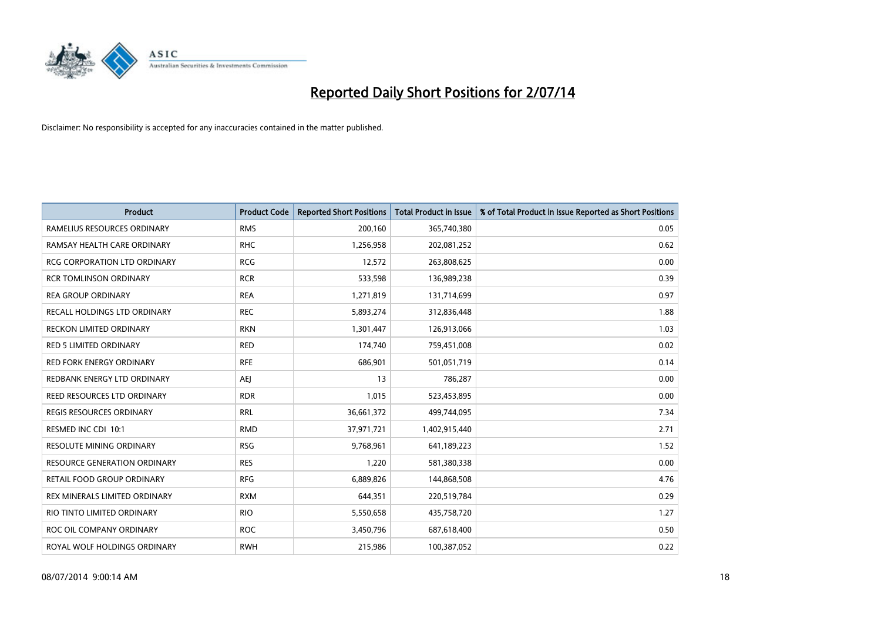

| <b>Product</b>                      | <b>Product Code</b> | <b>Reported Short Positions</b> | <b>Total Product in Issue</b> | % of Total Product in Issue Reported as Short Positions |
|-------------------------------------|---------------------|---------------------------------|-------------------------------|---------------------------------------------------------|
| RAMELIUS RESOURCES ORDINARY         | <b>RMS</b>          | 200,160                         | 365,740,380                   | 0.05                                                    |
| RAMSAY HEALTH CARE ORDINARY         | <b>RHC</b>          | 1,256,958                       | 202,081,252                   | 0.62                                                    |
| <b>RCG CORPORATION LTD ORDINARY</b> | <b>RCG</b>          | 12,572                          | 263,808,625                   | 0.00                                                    |
| <b>RCR TOMLINSON ORDINARY</b>       | <b>RCR</b>          | 533,598                         | 136,989,238                   | 0.39                                                    |
| <b>REA GROUP ORDINARY</b>           | <b>REA</b>          | 1,271,819                       | 131,714,699                   | 0.97                                                    |
| RECALL HOLDINGS LTD ORDINARY        | <b>REC</b>          | 5,893,274                       | 312,836,448                   | 1.88                                                    |
| <b>RECKON LIMITED ORDINARY</b>      | <b>RKN</b>          | 1,301,447                       | 126,913,066                   | 1.03                                                    |
| RED 5 LIMITED ORDINARY              | <b>RED</b>          | 174,740                         | 759,451,008                   | 0.02                                                    |
| <b>RED FORK ENERGY ORDINARY</b>     | <b>RFE</b>          | 686,901                         | 501,051,719                   | 0.14                                                    |
| REDBANK ENERGY LTD ORDINARY         | <b>AEI</b>          | 13                              | 786,287                       | 0.00                                                    |
| REED RESOURCES LTD ORDINARY         | <b>RDR</b>          | 1,015                           | 523,453,895                   | 0.00                                                    |
| <b>REGIS RESOURCES ORDINARY</b>     | <b>RRL</b>          | 36,661,372                      | 499,744,095                   | 7.34                                                    |
| RESMED INC CDI 10:1                 | <b>RMD</b>          | 37,971,721                      | 1,402,915,440                 | 2.71                                                    |
| RESOLUTE MINING ORDINARY            | <b>RSG</b>          | 9,768,961                       | 641,189,223                   | 1.52                                                    |
| <b>RESOURCE GENERATION ORDINARY</b> | <b>RES</b>          | 1,220                           | 581,380,338                   | 0.00                                                    |
| RETAIL FOOD GROUP ORDINARY          | <b>RFG</b>          | 6,889,826                       | 144,868,508                   | 4.76                                                    |
| REX MINERALS LIMITED ORDINARY       | <b>RXM</b>          | 644,351                         | 220,519,784                   | 0.29                                                    |
| RIO TINTO LIMITED ORDINARY          | <b>RIO</b>          | 5,550,658                       | 435,758,720                   | 1.27                                                    |
| ROC OIL COMPANY ORDINARY            | <b>ROC</b>          | 3,450,796                       | 687,618,400                   | 0.50                                                    |
| ROYAL WOLF HOLDINGS ORDINARY        | <b>RWH</b>          | 215,986                         | 100,387,052                   | 0.22                                                    |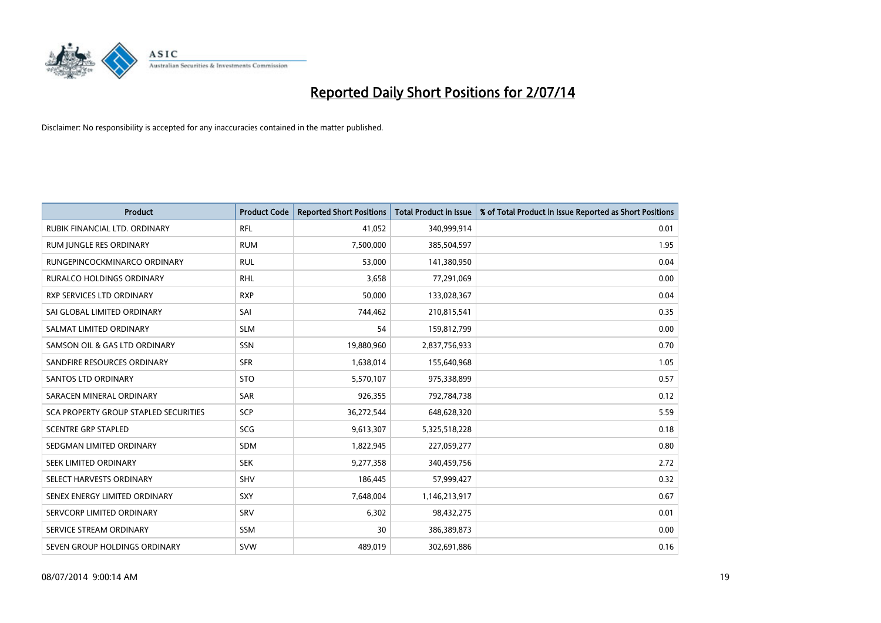

| <b>Product</b>                        | <b>Product Code</b> | <b>Reported Short Positions</b> | <b>Total Product in Issue</b> | % of Total Product in Issue Reported as Short Positions |
|---------------------------------------|---------------------|---------------------------------|-------------------------------|---------------------------------------------------------|
| RUBIK FINANCIAL LTD, ORDINARY         | <b>RFL</b>          | 41,052                          | 340,999,914                   | 0.01                                                    |
| <b>RUM JUNGLE RES ORDINARY</b>        | <b>RUM</b>          | 7,500,000                       | 385,504,597                   | 1.95                                                    |
| RUNGEPINCOCKMINARCO ORDINARY          | <b>RUL</b>          | 53,000                          | 141,380,950                   | 0.04                                                    |
| RURALCO HOLDINGS ORDINARY             | <b>RHL</b>          | 3,658                           | 77,291,069                    | 0.00                                                    |
| <b>RXP SERVICES LTD ORDINARY</b>      | <b>RXP</b>          | 50,000                          | 133,028,367                   | 0.04                                                    |
| SAI GLOBAL LIMITED ORDINARY           | SAI                 | 744,462                         | 210,815,541                   | 0.35                                                    |
| SALMAT LIMITED ORDINARY               | <b>SLM</b>          | 54                              | 159,812,799                   | 0.00                                                    |
| SAMSON OIL & GAS LTD ORDINARY         | SSN                 | 19,880,960                      | 2,837,756,933                 | 0.70                                                    |
| SANDFIRE RESOURCES ORDINARY           | <b>SFR</b>          | 1,638,014                       | 155,640,968                   | 1.05                                                    |
| SANTOS LTD ORDINARY                   | <b>STO</b>          | 5,570,107                       | 975,338,899                   | 0.57                                                    |
| SARACEN MINERAL ORDINARY              | SAR                 | 926,355                         | 792,784,738                   | 0.12                                                    |
| SCA PROPERTY GROUP STAPLED SECURITIES | <b>SCP</b>          | 36,272,544                      | 648,628,320                   | 5.59                                                    |
| <b>SCENTRE GRP STAPLED</b>            | SCG                 | 9,613,307                       | 5,325,518,228                 | 0.18                                                    |
| SEDGMAN LIMITED ORDINARY              | SDM                 | 1,822,945                       | 227,059,277                   | 0.80                                                    |
| SEEK LIMITED ORDINARY                 | <b>SEK</b>          | 9,277,358                       | 340,459,756                   | 2.72                                                    |
| SELECT HARVESTS ORDINARY              | SHV                 | 186,445                         | 57,999,427                    | 0.32                                                    |
| SENEX ENERGY LIMITED ORDINARY         | SXY                 | 7,648,004                       | 1,146,213,917                 | 0.67                                                    |
| SERVCORP LIMITED ORDINARY             | SRV                 | 6,302                           | 98,432,275                    | 0.01                                                    |
| SERVICE STREAM ORDINARY               | <b>SSM</b>          | 30                              | 386,389,873                   | 0.00                                                    |
| SEVEN GROUP HOLDINGS ORDINARY         | <b>SVW</b>          | 489,019                         | 302,691,886                   | 0.16                                                    |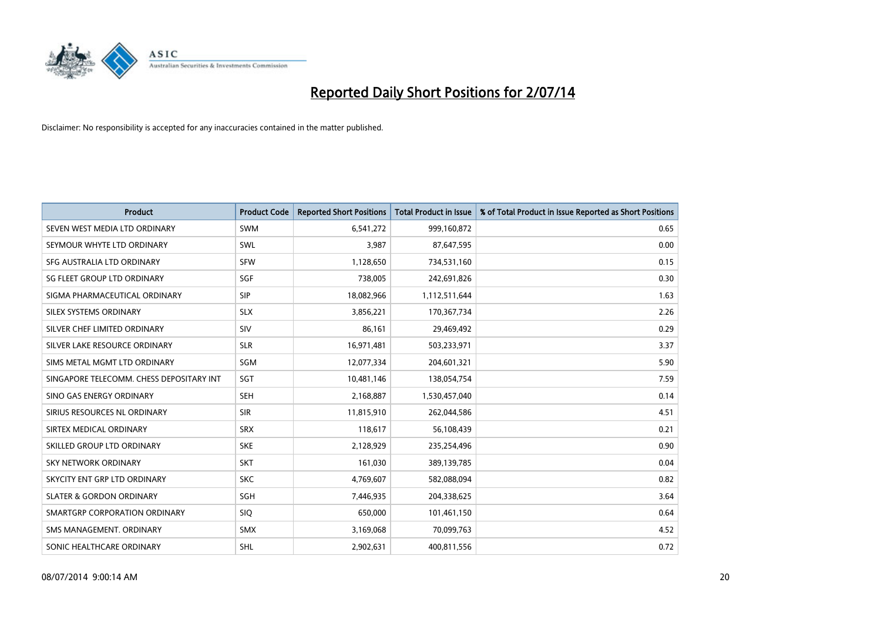

| <b>Product</b>                           | <b>Product Code</b> | <b>Reported Short Positions</b> | <b>Total Product in Issue</b> | % of Total Product in Issue Reported as Short Positions |
|------------------------------------------|---------------------|---------------------------------|-------------------------------|---------------------------------------------------------|
| SEVEN WEST MEDIA LTD ORDINARY            | <b>SWM</b>          | 6,541,272                       | 999,160,872                   | 0.65                                                    |
| SEYMOUR WHYTE LTD ORDINARY               | SWL                 | 3,987                           | 87,647,595                    | 0.00                                                    |
| SFG AUSTRALIA LTD ORDINARY               | <b>SFW</b>          | 1,128,650                       | 734,531,160                   | 0.15                                                    |
| SG FLEET GROUP LTD ORDINARY              | SGF                 | 738,005                         | 242,691,826                   | 0.30                                                    |
| SIGMA PHARMACEUTICAL ORDINARY            | <b>SIP</b>          | 18,082,966                      | 1,112,511,644                 | 1.63                                                    |
| SILEX SYSTEMS ORDINARY                   | <b>SLX</b>          | 3,856,221                       | 170,367,734                   | 2.26                                                    |
| SILVER CHEF LIMITED ORDINARY             | <b>SIV</b>          | 86,161                          | 29,469,492                    | 0.29                                                    |
| SILVER LAKE RESOURCE ORDINARY            | <b>SLR</b>          | 16,971,481                      | 503,233,971                   | 3.37                                                    |
| SIMS METAL MGMT LTD ORDINARY             | SGM                 | 12,077,334                      | 204,601,321                   | 5.90                                                    |
| SINGAPORE TELECOMM. CHESS DEPOSITARY INT | SGT                 | 10,481,146                      | 138,054,754                   | 7.59                                                    |
| SINO GAS ENERGY ORDINARY                 | <b>SEH</b>          | 2,168,887                       | 1,530,457,040                 | 0.14                                                    |
| SIRIUS RESOURCES NL ORDINARY             | <b>SIR</b>          | 11,815,910                      | 262,044,586                   | 4.51                                                    |
| SIRTEX MEDICAL ORDINARY                  | <b>SRX</b>          | 118,617                         | 56,108,439                    | 0.21                                                    |
| SKILLED GROUP LTD ORDINARY               | <b>SKE</b>          | 2,128,929                       | 235,254,496                   | 0.90                                                    |
| <b>SKY NETWORK ORDINARY</b>              | <b>SKT</b>          | 161,030                         | 389,139,785                   | 0.04                                                    |
| SKYCITY ENT GRP LTD ORDINARY             | <b>SKC</b>          | 4,769,607                       | 582,088,094                   | 0.82                                                    |
| <b>SLATER &amp; GORDON ORDINARY</b>      | SGH                 | 7,446,935                       | 204,338,625                   | 3.64                                                    |
| SMARTGRP CORPORATION ORDINARY            | <b>SIQ</b>          | 650,000                         | 101,461,150                   | 0.64                                                    |
| SMS MANAGEMENT, ORDINARY                 | <b>SMX</b>          | 3,169,068                       | 70,099,763                    | 4.52                                                    |
| SONIC HEALTHCARE ORDINARY                | SHL                 | 2,902,631                       | 400,811,556                   | 0.72                                                    |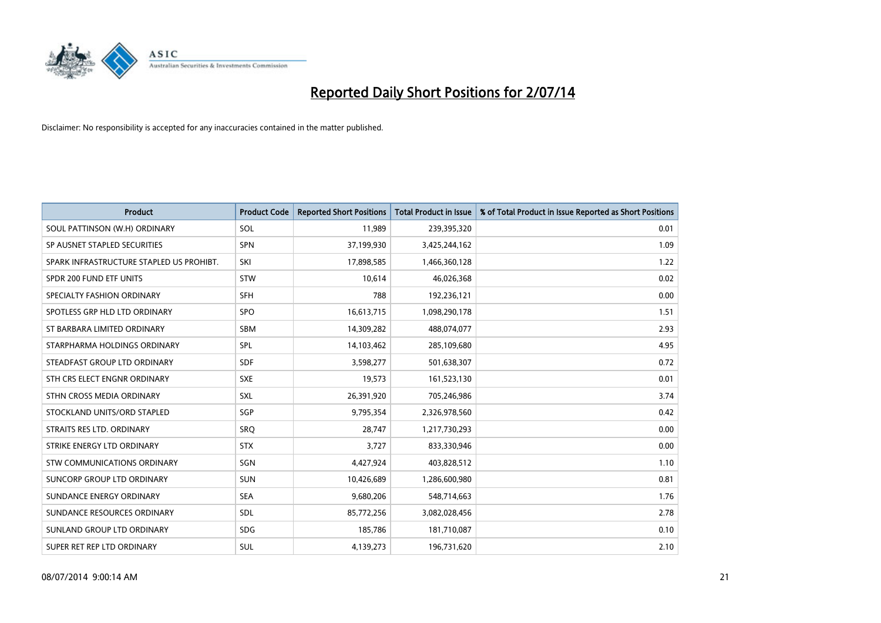

| <b>Product</b>                           | <b>Product Code</b> | <b>Reported Short Positions</b> | <b>Total Product in Issue</b> | % of Total Product in Issue Reported as Short Positions |
|------------------------------------------|---------------------|---------------------------------|-------------------------------|---------------------------------------------------------|
| SOUL PATTINSON (W.H) ORDINARY            | SOL                 | 11,989                          | 239,395,320                   | 0.01                                                    |
| SP AUSNET STAPLED SECURITIES             | <b>SPN</b>          | 37,199,930                      | 3,425,244,162                 | 1.09                                                    |
| SPARK INFRASTRUCTURE STAPLED US PROHIBT. | SKI                 | 17,898,585                      | 1,466,360,128                 | 1.22                                                    |
| SPDR 200 FUND ETF UNITS                  | <b>STW</b>          | 10,614                          | 46,026,368                    | 0.02                                                    |
| SPECIALTY FASHION ORDINARY               | <b>SFH</b>          | 788                             | 192,236,121                   | 0.00                                                    |
| SPOTLESS GRP HLD LTD ORDINARY            | <b>SPO</b>          | 16,613,715                      | 1,098,290,178                 | 1.51                                                    |
| ST BARBARA LIMITED ORDINARY              | <b>SBM</b>          | 14,309,282                      | 488,074,077                   | 2.93                                                    |
| STARPHARMA HOLDINGS ORDINARY             | <b>SPL</b>          | 14,103,462                      | 285,109,680                   | 4.95                                                    |
| STEADFAST GROUP LTD ORDINARY             | <b>SDF</b>          | 3,598,277                       | 501,638,307                   | 0.72                                                    |
| STH CRS ELECT ENGNR ORDINARY             | <b>SXE</b>          | 19,573                          | 161,523,130                   | 0.01                                                    |
| STHN CROSS MEDIA ORDINARY                | SXL                 | 26,391,920                      | 705,246,986                   | 3.74                                                    |
| STOCKLAND UNITS/ORD STAPLED              | SGP                 | 9,795,354                       | 2,326,978,560                 | 0.42                                                    |
| STRAITS RES LTD. ORDINARY                | <b>SRQ</b>          | 28,747                          | 1,217,730,293                 | 0.00                                                    |
| STRIKE ENERGY LTD ORDINARY               | <b>STX</b>          | 3,727                           | 833,330,946                   | 0.00                                                    |
| STW COMMUNICATIONS ORDINARY              | SGN                 | 4,427,924                       | 403,828,512                   | 1.10                                                    |
| <b>SUNCORP GROUP LTD ORDINARY</b>        | <b>SUN</b>          | 10,426,689                      | 1,286,600,980                 | 0.81                                                    |
| SUNDANCE ENERGY ORDINARY                 | <b>SEA</b>          | 9,680,206                       | 548,714,663                   | 1.76                                                    |
| SUNDANCE RESOURCES ORDINARY              | SDL                 | 85,772,256                      | 3,082,028,456                 | 2.78                                                    |
| SUNLAND GROUP LTD ORDINARY               | <b>SDG</b>          | 185,786                         | 181,710,087                   | 0.10                                                    |
| SUPER RET REP LTD ORDINARY               | SUL                 | 4,139,273                       | 196,731,620                   | 2.10                                                    |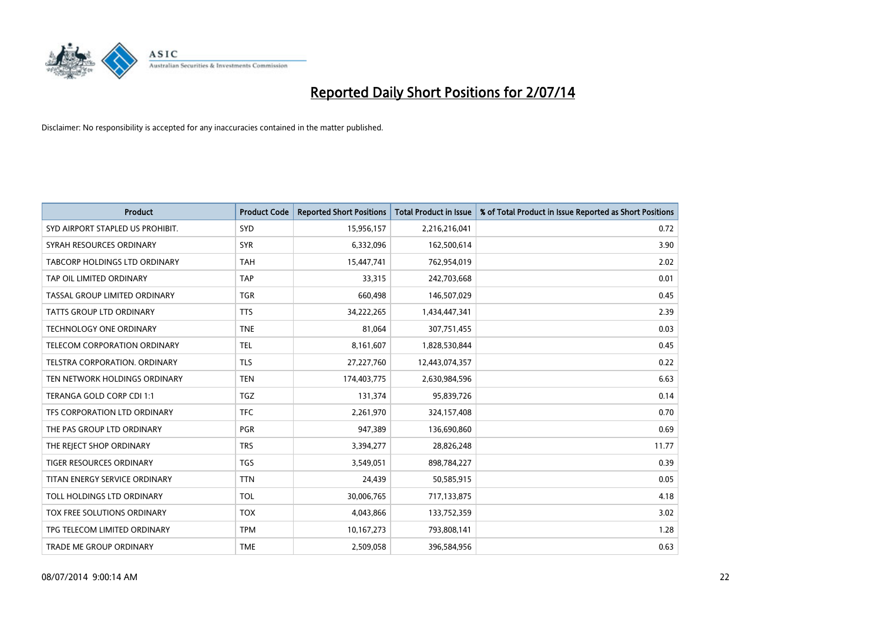

| <b>Product</b>                   | <b>Product Code</b> | <b>Reported Short Positions</b> | <b>Total Product in Issue</b> | % of Total Product in Issue Reported as Short Positions |
|----------------------------------|---------------------|---------------------------------|-------------------------------|---------------------------------------------------------|
| SYD AIRPORT STAPLED US PROHIBIT. | SYD                 | 15,956,157                      | 2,216,216,041                 | 0.72                                                    |
| SYRAH RESOURCES ORDINARY         | <b>SYR</b>          | 6,332,096                       | 162,500,614                   | 3.90                                                    |
| TABCORP HOLDINGS LTD ORDINARY    | <b>TAH</b>          | 15,447,741                      | 762,954,019                   | 2.02                                                    |
| TAP OIL LIMITED ORDINARY         | <b>TAP</b>          | 33,315                          | 242,703,668                   | 0.01                                                    |
| TASSAL GROUP LIMITED ORDINARY    | <b>TGR</b>          | 660,498                         | 146,507,029                   | 0.45                                                    |
| <b>TATTS GROUP LTD ORDINARY</b>  | <b>TTS</b>          | 34,222,265                      | 1,434,447,341                 | 2.39                                                    |
| <b>TECHNOLOGY ONE ORDINARY</b>   | <b>TNE</b>          | 81,064                          | 307,751,455                   | 0.03                                                    |
| TELECOM CORPORATION ORDINARY     | <b>TEL</b>          | 8,161,607                       | 1,828,530,844                 | 0.45                                                    |
| TELSTRA CORPORATION, ORDINARY    | <b>TLS</b>          | 27,227,760                      | 12,443,074,357                | 0.22                                                    |
| TEN NETWORK HOLDINGS ORDINARY    | <b>TEN</b>          | 174,403,775                     | 2,630,984,596                 | 6.63                                                    |
| TERANGA GOLD CORP CDI 1:1        | <b>TGZ</b>          | 131,374                         | 95,839,726                    | 0.14                                                    |
| TFS CORPORATION LTD ORDINARY     | <b>TFC</b>          | 2,261,970                       | 324,157,408                   | 0.70                                                    |
| THE PAS GROUP LTD ORDINARY       | PGR                 | 947,389                         | 136,690,860                   | 0.69                                                    |
| THE REJECT SHOP ORDINARY         | <b>TRS</b>          | 3,394,277                       | 28,826,248                    | 11.77                                                   |
| <b>TIGER RESOURCES ORDINARY</b>  | <b>TGS</b>          | 3,549,051                       | 898,784,227                   | 0.39                                                    |
| TITAN ENERGY SERVICE ORDINARY    | <b>TTN</b>          | 24,439                          | 50,585,915                    | 0.05                                                    |
| TOLL HOLDINGS LTD ORDINARY       | <b>TOL</b>          | 30,006,765                      | 717,133,875                   | 4.18                                                    |
| TOX FREE SOLUTIONS ORDINARY      | <b>TOX</b>          | 4,043,866                       | 133,752,359                   | 3.02                                                    |
| TPG TELECOM LIMITED ORDINARY     | <b>TPM</b>          | 10,167,273                      | 793,808,141                   | 1.28                                                    |
| TRADE ME GROUP ORDINARY          | <b>TME</b>          | 2,509,058                       | 396,584,956                   | 0.63                                                    |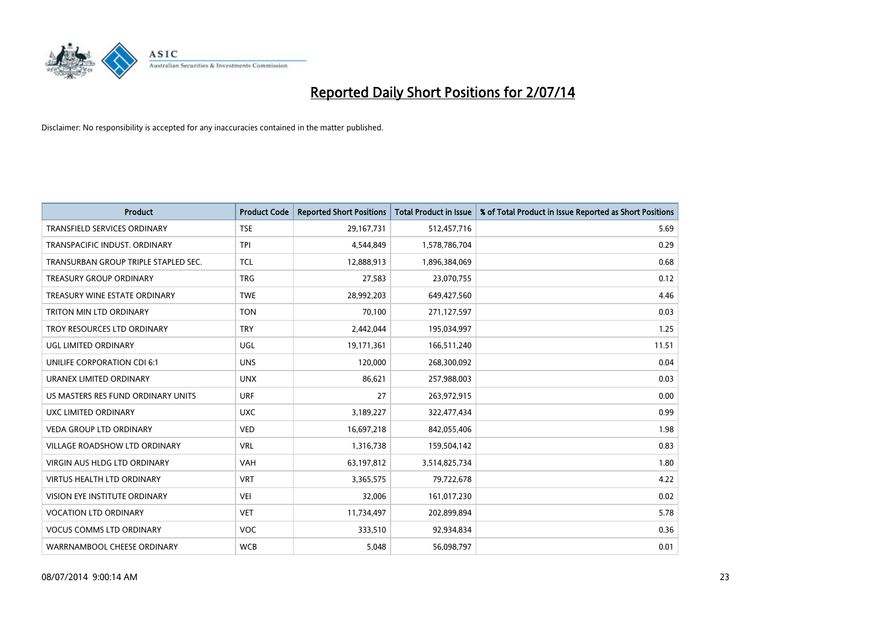

| <b>Product</b>                       | <b>Product Code</b> | <b>Reported Short Positions</b> | <b>Total Product in Issue</b> | % of Total Product in Issue Reported as Short Positions |
|--------------------------------------|---------------------|---------------------------------|-------------------------------|---------------------------------------------------------|
| <b>TRANSFIELD SERVICES ORDINARY</b>  | <b>TSE</b>          | 29,167,731                      | 512,457,716                   | 5.69                                                    |
| TRANSPACIFIC INDUST. ORDINARY        | TPI                 | 4,544,849                       | 1,578,786,704                 | 0.29                                                    |
| TRANSURBAN GROUP TRIPLE STAPLED SEC. | <b>TCL</b>          | 12,888,913                      | 1,896,384,069                 | 0.68                                                    |
| TREASURY GROUP ORDINARY              | <b>TRG</b>          | 27,583                          | 23,070,755                    | 0.12                                                    |
| TREASURY WINE ESTATE ORDINARY        | <b>TWE</b>          | 28,992,203                      | 649,427,560                   | 4.46                                                    |
| TRITON MIN LTD ORDINARY              | <b>TON</b>          | 70,100                          | 271,127,597                   | 0.03                                                    |
| TROY RESOURCES LTD ORDINARY          | <b>TRY</b>          | 2,442,044                       | 195,034,997                   | 1.25                                                    |
| UGL LIMITED ORDINARY                 | UGL                 | 19,171,361                      | 166,511,240                   | 11.51                                                   |
| UNILIFE CORPORATION CDI 6:1          | <b>UNS</b>          | 120,000                         | 268,300,092                   | 0.04                                                    |
| URANEX LIMITED ORDINARY              | <b>UNX</b>          | 86,621                          | 257,988,003                   | 0.03                                                    |
| US MASTERS RES FUND ORDINARY UNITS   | <b>URF</b>          | 27                              | 263,972,915                   | 0.00                                                    |
| UXC LIMITED ORDINARY                 | <b>UXC</b>          | 3,189,227                       | 322,477,434                   | 0.99                                                    |
| <b>VEDA GROUP LTD ORDINARY</b>       | <b>VED</b>          | 16,697,218                      | 842,055,406                   | 1.98                                                    |
| <b>VILLAGE ROADSHOW LTD ORDINARY</b> | <b>VRL</b>          | 1,316,738                       | 159,504,142                   | 0.83                                                    |
| <b>VIRGIN AUS HLDG LTD ORDINARY</b>  | <b>VAH</b>          | 63,197,812                      | 3,514,825,734                 | 1.80                                                    |
| VIRTUS HEALTH LTD ORDINARY           | <b>VRT</b>          | 3,365,575                       | 79,722,678                    | 4.22                                                    |
| VISION EYE INSTITUTE ORDINARY        | <b>VEI</b>          | 32,006                          | 161,017,230                   | 0.02                                                    |
| <b>VOCATION LTD ORDINARY</b>         | <b>VET</b>          | 11,734,497                      | 202,899,894                   | 5.78                                                    |
| <b>VOCUS COMMS LTD ORDINARY</b>      | <b>VOC</b>          | 333,510                         | 92,934,834                    | 0.36                                                    |
| WARRNAMBOOL CHEESE ORDINARY          | <b>WCB</b>          | 5,048                           | 56,098,797                    | 0.01                                                    |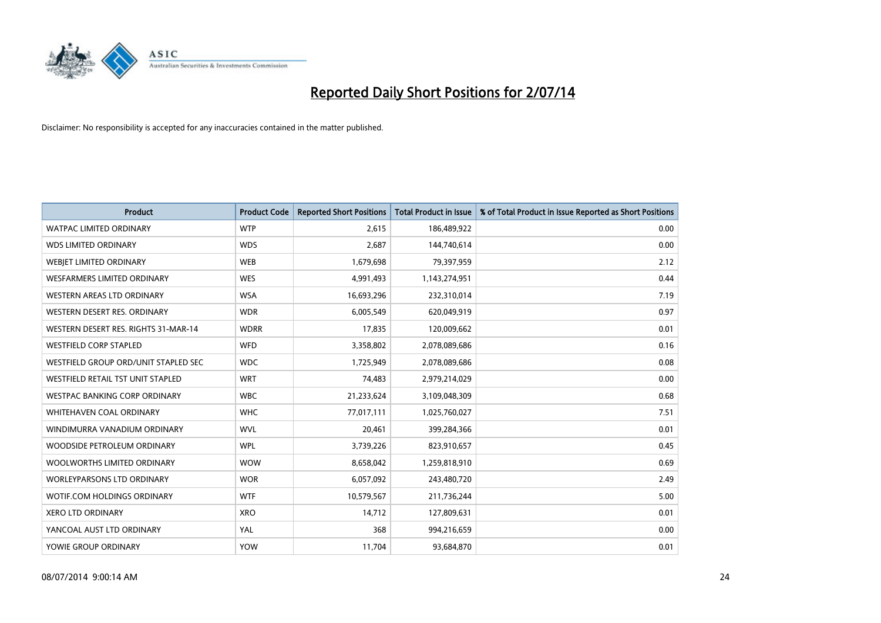

| <b>Product</b>                       | <b>Product Code</b> | <b>Reported Short Positions</b> | <b>Total Product in Issue</b> | % of Total Product in Issue Reported as Short Positions |
|--------------------------------------|---------------------|---------------------------------|-------------------------------|---------------------------------------------------------|
| <b>WATPAC LIMITED ORDINARY</b>       | <b>WTP</b>          | 2,615                           | 186,489,922                   | 0.00                                                    |
| <b>WDS LIMITED ORDINARY</b>          | <b>WDS</b>          | 2,687                           | 144,740,614                   | 0.00                                                    |
| WEBJET LIMITED ORDINARY              | <b>WEB</b>          | 1,679,698                       | 79,397,959                    | 2.12                                                    |
| WESFARMERS LIMITED ORDINARY          | <b>WES</b>          | 4,991,493                       | 1,143,274,951                 | 0.44                                                    |
| WESTERN AREAS LTD ORDINARY           | <b>WSA</b>          | 16,693,296                      | 232,310,014                   | 7.19                                                    |
| WESTERN DESERT RES. ORDINARY         | <b>WDR</b>          | 6,005,549                       | 620,049,919                   | 0.97                                                    |
| WESTERN DESERT RES. RIGHTS 31-MAR-14 | <b>WDRR</b>         | 17,835                          | 120,009,662                   | 0.01                                                    |
| <b>WESTFIELD CORP STAPLED</b>        | WFD                 | 3,358,802                       | 2,078,089,686                 | 0.16                                                    |
| WESTFIELD GROUP ORD/UNIT STAPLED SEC | <b>WDC</b>          | 1,725,949                       | 2,078,089,686                 | 0.08                                                    |
| WESTFIELD RETAIL TST UNIT STAPLED    | <b>WRT</b>          | 74,483                          | 2,979,214,029                 | 0.00                                                    |
| WESTPAC BANKING CORP ORDINARY        | <b>WBC</b>          | 21,233,624                      | 3,109,048,309                 | 0.68                                                    |
| WHITEHAVEN COAL ORDINARY             | <b>WHC</b>          | 77,017,111                      | 1,025,760,027                 | 7.51                                                    |
| WINDIMURRA VANADIUM ORDINARY         | <b>WVL</b>          | 20,461                          | 399,284,366                   | 0.01                                                    |
| WOODSIDE PETROLEUM ORDINARY          | <b>WPL</b>          | 3,739,226                       | 823,910,657                   | 0.45                                                    |
| WOOLWORTHS LIMITED ORDINARY          | <b>WOW</b>          | 8,658,042                       | 1,259,818,910                 | 0.69                                                    |
| <b>WORLEYPARSONS LTD ORDINARY</b>    | <b>WOR</b>          | 6,057,092                       | 243,480,720                   | 2.49                                                    |
| WOTIF.COM HOLDINGS ORDINARY          | <b>WTF</b>          | 10,579,567                      | 211,736,244                   | 5.00                                                    |
| <b>XERO LTD ORDINARY</b>             | <b>XRO</b>          | 14,712                          | 127,809,631                   | 0.01                                                    |
| YANCOAL AUST LTD ORDINARY            | YAL                 | 368                             | 994,216,659                   | 0.00                                                    |
| YOWIE GROUP ORDINARY                 | <b>YOW</b>          | 11,704                          | 93,684,870                    | 0.01                                                    |